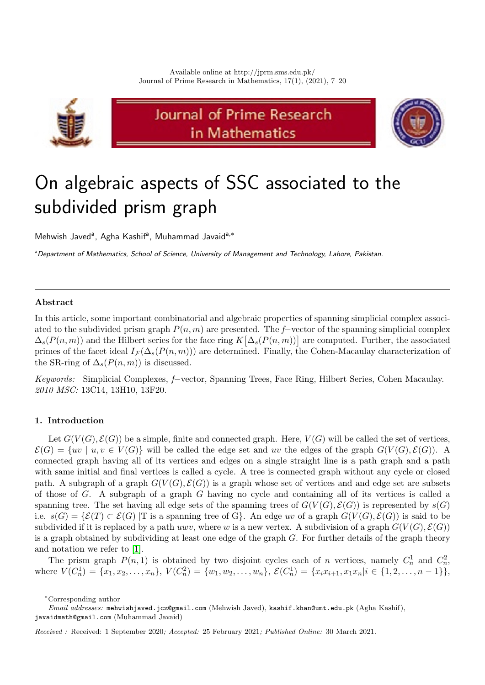

# Journal of Prime Research in Mathematics



# On algebraic aspects of SSC associated to the subdivided prism graph

Mehwish Javed<sup>a</sup>, Agha Kashif<sup>a</sup>, Muhammad Javaid<sup>a,\*</sup>

aDepartment of Mathematics, School of Science, University of Management and Technology, Lahore, Pakistan.

# Abstract

In this article, some important combinatorial and algebraic properties of spanning simplicial complex associated to the subdivided prism graph  $P(n, m)$  are presented. The f–vector of the spanning simplicial complex  $\Delta_s(P(n,m))$  and the Hilbert series for the face ring  $K[\Delta_s(P(n,m))]$  are computed. Further, the associated primes of the facet ideal  $I_{\mathcal{F}}(\Delta_s(P(n,m)))$  are determined. Finally, the Cohen-Macaulay characterization of the SR-ring of  $\Delta_s(P(n,m))$  is discussed.

Keywords: Simplicial Complexes, f−vector, Spanning Trees, Face Ring, Hilbert Series, Cohen Macaulay. 2010 MSC: 13C14, 13H10, 13F20.

# 1. Introduction

Let  $G(V(G), \mathcal{E}(G))$  be a simple, finite and connected graph. Here,  $V(G)$  will be called the set of vertices,  $\mathcal{E}(G) = \{uv \mid u, v \in V(G)\}\$  will be called the edge set and uv the edges of the graph  $G(V(G), \mathcal{E}(G))$ . A connected graph having all of its vertices and edges on a single straight line is a path graph and a path with same initial and final vertices is called a cycle. A tree is connected graph without any cycle or closed path. A subgraph of a graph  $G(V(G), \mathcal{E}(G))$  is a graph whose set of vertices and and edge set are subsets of those of G. A subgraph of a graph G having no cycle and containing all of its vertices is called a spanning tree. The set having all edge sets of the spanning trees of  $G(V(G), \mathcal{E}(G))$  is represented by  $s(G)$ i.e.  $s(G) = \{ \mathcal{E}(T) \subset \mathcal{E}(G) | T$  is a spanning tree of G. An edge uv of a graph  $G(V(G), \mathcal{E}(G))$  is said to be subdivided if it is replaced by a path uwv, where w is a new vertex. A subdivision of a graph  $G(V(G), \mathcal{E}(G))$ is a graph obtained by subdividing at least one edge of the graph  $G$ . For further details of the graph theory and notation we refer to [\[1\]](#page-12-0).

The prism graph  $P(n,1)$  is obtained by two disjoint cycles each of n vertices, namely  $C_n^1$  and  $C_n^2$ , where  $V(C_n^1) = \{x_1, x_2, \ldots, x_n\}, V(C_n^2) = \{w_1, w_2, \ldots, w_n\}, \, \mathcal{E}(C_n^1) = \{x_i x_{i+1}, x_1 x_n | i \in \{1, 2, \ldots, n-1\}\},\$ 

<sup>∗</sup>Corresponding author

Email addresses: mehwishjaved.jcz@gmail.com (Mehwish Javed), kashif.khan@umt.edu.pk (Agha Kashif), javaidmath@gmail.com (Muhammad Javaid)

Received : Received: 1 September 2020; Accepted: 25 February 2021; Published Online: 30 March 2021.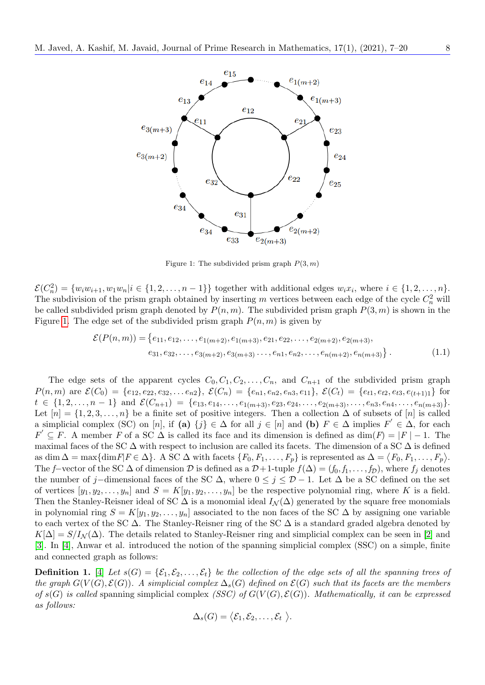

<span id="page-1-1"></span><span id="page-1-0"></span>Figure 1: The subdivided prism graph  $P(3, m)$ 

 $\mathcal{E}(C_n^2) = \{w_iw_{i+1}, w_1w_n|i \in \{1, 2, \ldots, n-1\}\}\$  together with additional edges  $w_ix_i$ , where  $i \in \{1, 2, \ldots, n\}$ . The subdivision of the prism graph obtained by inserting m vertices between each edge of the cycle  $C_n^2$  will be called subdivided prism graph denoted by  $P(n, m)$ . The subdivided prism graph  $P(3, m)$  is shown in the Figure [1.](#page-1-0) The edge set of the subdivided prism graph  $P(n, m)$  is given by

$$
\mathcal{E}(P(n,m)) = \{e_{11}, e_{12}, \dots, e_{1(m+2)}, e_{1(m+3)}, e_{21}, e_{22}, \dots, e_{2(m+2)}, e_{2(m+3)},\
$$

$$
e_{31}, e_{32}, \dots, e_{3(m+2)}, e_{3(m+3)} \dots, e_{n1}, e_{n2}, \dots, e_{n(m+2)}, e_{n(m+3)}\}.
$$
(1.1)

The edge sets of the apparent cycles  $C_0, C_1, C_2, \ldots, C_n$ , and  $C_{n+1}$  of the subdivided prism graph  $P(n,m)$  are  $\mathcal{E}(C_0) = \{e_{12}, e_{22}, e_{32}, \ldots e_{n2}\}, \ \mathcal{E}(C_n) = \{e_{n1}, e_{n2}, e_{n3}, e_{11}\}, \ \mathcal{E}(C_t) = \{e_{t1}, e_{t2}, e_{t3}, e_{(t+1)1}\}$  for  $t \in \{1, 2, \ldots, n-1\}$  and  $\mathcal{E}(C_{n+1}) = \{e_{13}, e_{14}, \ldots, e_{1(m+3)}, e_{23}, e_{24}, \ldots, e_{2(m+3)}, \ldots, e_{n3}, e_{n4}, \ldots, e_{n(m+3)}\}.$ Let  $[n] = \{1, 2, 3, \ldots, n\}$  be a finite set of positive integers. Then a collection  $\Delta$  of subsets of  $[n]$  is called a simplicial complex (SC) on [n], if (a)  $\{j\} \in \Delta$  for all  $j \in [n]$  and (b)  $F \in \Delta$  implies  $F' \in \Delta$ , for each  $F' \subseteq F$ . A member F of a SC  $\Delta$  is called its face and its dimension is defined as  $\dim(F) = |F| - 1$ . The maximal faces of the SC  $\Delta$  with respect to inclusion are called its facets. The dimension of a SC  $\Delta$  is defined as dim  $\Delta = \max\{\dim F | F \in \Delta\}$ . A SC  $\Delta$  with facets  $\{F_0, F_1, \ldots, F_p\}$  is represented as  $\Delta = \langle F_0, F_1, \ldots, F_p \rangle$ . The f–vector of the SC  $\Delta$  of dimension  $\mathcal D$  is defined as a  $\mathcal D+1$ -tuple  $f(\Delta)=(f_0,f_1,\ldots,f_{\mathcal D})$ , where  $f_j$  denotes the number of j–dimensional faces of the SC  $\Delta$ , where  $0 \leq j \leq \mathcal{D} - 1$ . Let  $\Delta$  be a SC defined on the set of vertices  $[y_1, y_2, \ldots, y_n]$  and  $S = K[y_1, y_2, \ldots, y_n]$  be the respective polynomial ring, where K is a field. Then the Stanley-Reisner ideal of SC  $\Delta$  is a monomial ideal  $I_{\mathcal{N}}(\Delta)$  generated by the square free monomials in polynomial ring  $S = K[y_1, y_2, \ldots, y_n]$  associated to the non faces of the SC  $\Delta$  by assigning one variable to each vertex of the SC  $\Delta$ . The Stanley-Reisner ring of the SC  $\Delta$  is a standard graded algebra denoted by  $K[\Delta] = S/I_{\mathcal{N}}(\Delta)$ . The details related to Stanley-Reisner ring and simplicial complex can be seen in [\[2\]](#page-12-1) and [\[3\]](#page-12-2). In [\[4\]](#page-12-3), Anwar et al. introduced the notion of the spanning simplicial complex (SSC) on a simple, finite and connected graph as follows:

<span id="page-1-2"></span>**Definition 1.** [\[4\]](#page-12-3) Let  $s(G) = \{ \mathcal{E}_1, \mathcal{E}_2, \ldots, \mathcal{E}_t \}$  be the collection of the edge sets of all the spanning trees of the graph  $G(V(G), \mathcal{E}(G))$ . A simplicial complex  $\Delta_s(G)$  defined on  $\mathcal{E}(G)$  such that its facets are the members of  $s(G)$  is called spanning simplicial complex (SSC) of  $G(V(G), \mathcal{E}(G))$ . Mathematically, it can be expressed as follows:

$$
\Delta_s(G) = \langle \mathcal{E}_1, \mathcal{E}_2, \ldots, \mathcal{E}_t \rangle.
$$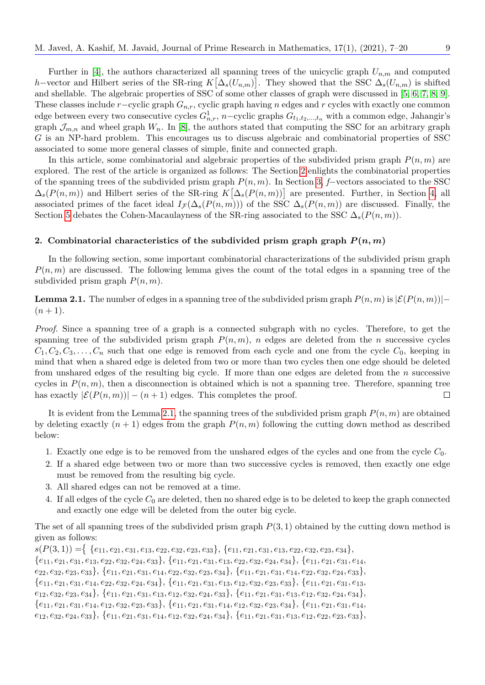Further in [\[4\]](#page-12-3), the authors characterized all spanning trees of the unicyclic graph  $U_{n,m}$  and computed h–vector and Hilbert series of the SR-ring  $K[\Delta_s(U_{n,m})]$ . They showed that the SSC  $\Delta_s(U_{n,m})$  is shifted and shellable. The algebraic properties of SSC of some other classes of graph were discussed in [\[5,](#page-12-4) [6,](#page-12-5) [7,](#page-13-0) [8,](#page-13-1) [9\]](#page-13-2). These classes include r–cyclic graph  $G_{n,r}$ , cyclic graph having n edges and r cycles with exactly one common edge between every two consecutive cycles  $G_{n,r}^1$ , n–cyclic graphs  $G_{t_1,t_2,...,t_n}$  with a common edge, Jahangir's graph  $\mathcal{J}_{m,n}$  and wheel graph  $W_n$ . In [\[8\]](#page-13-1), the authors stated that computing the SSC for an arbitrary graph G is an NP-hard problem. This encourages us to discuss algebraic and combinatorial properties of SSC associated to some more general classes of simple, finite and connected graph.

In this article, some combinatorial and algebraic properties of the subdivided prism graph  $P(n, m)$  are explored. The rest of the article is organized as follows: The Section [2](#page-2-0) enlights the combinatorial properties of the spanning trees of the subdivided prism graph  $P(n, m)$ . In Section [3,](#page-8-0) f–vectors associated to the SSC  $\Delta_s(P(n,m))$  and Hilbert series of the SR-ring  $K[\Delta_s(P(n,m))]$  are presented. Further, in Section [4,](#page-10-0) all associated primes of the facet ideal  $I_{\mathcal{F}}(\Delta_s(P(n,m)))$  of the SSC  $\Delta_s(P(n,m))$  are discussed. Finally, the Section [5](#page-10-1) debates the Cohen-Macaulayness of the SR-ring associated to the SSC  $\Delta_s(P(n,m))$ .

#### <span id="page-2-0"></span>2. Combinatorial characteristics of the subdivided prism graph graph  $P(n, m)$

In the following section, some important combinatorial characterizations of the subdivided prism graph  $P(n, m)$  are discussed. The following lemma gives the count of the total edges in a spanning tree of the subdivided prism graph  $P(n, m)$ .

<span id="page-2-1"></span>**Lemma 2.1.** The number of edges in a spanning tree of the subdivided prism graph  $P(n, m)$  is  $|\mathcal{E}(P(n, m))|$  –  $(n+1).$ 

Proof. Since a spanning tree of a graph is a connected subgraph with no cycles. Therefore, to get the spanning tree of the subdivided prism graph  $P(n, m)$ , n edges are deleted from the n successive cycles  $C_1, C_2, C_3, \ldots, C_n$  such that one edge is removed from each cycle and one from the cycle  $C_0$ , keeping in mind that when a shared edge is deleted from two or more than two cycles then one edge should be deleted from unshared edges of the resulting big cycle. If more than one edges are deleted from the n successive cycles in  $P(n, m)$ , then a disconnection is obtained which is not a spanning tree. Therefore, spanning tree has exactly  $|\mathcal{E}(P(n,m))| - (n+1)$  edges. This completes the proof.  $\Box$ 

It is evident from the Lemma [2.1,](#page-2-1) the spanning trees of the subdivided prism graph  $P(n, m)$  are obtained by deleting exactly  $(n + 1)$  edges from the graph  $P(n, m)$  following the cutting down method as described below:

- 1. Exactly one edge is to be removed from the unshared edges of the cycles and one from the cycle  $C_0$ .
- 2. If a shared edge between two or more than two successive cycles is removed, then exactly one edge must be removed from the resulting big cycle.
- 3. All shared edges can not be removed at a time.
- 4. If all edges of the cycle  $C_0$  are deleted, then no shared edge is to be deleted to keep the graph connected and exactly one edge will be deleted from the outer big cycle.

The set of all spanning trees of the subdivided prism graph  $P(3, 1)$  obtained by the cutting down method is given as follows:

 $s(P(3, 1)) = \{ \{e_{11}, e_{21}, e_{31}, e_{13}, e_{22}, e_{32}, e_{23}, e_{33}\}, \{e_{11}, e_{21}, e_{31}, e_{13}, e_{22}, e_{32}, e_{23}, e_{34}\},$  ${e_{11}, e_{21}, e_{31}, e_{13}, e_{22}, e_{32}, e_{24}, e_{33}}, {e_{11}, e_{21}, e_{31}, e_{13}, e_{22}, e_{32}, e_{24}, e_{34}}, {e_{11}, e_{21}, e_{31}, e_{14},$  $\{e_{22},e_{32},e_{23},e_{33}\},\{e_{11},e_{21},e_{31},e_{14},e_{22},e_{32},e_{23},e_{34}\},\{e_{11},e_{21},e_{31},e_{14},e_{22},e_{32},e_{24},e_{33}\},$  ${e_{11}, e_{21}, e_{31}, e_{14}, e_{22}, e_{32}, e_{24}, e_{34}, e_{11}, e_{21}, e_{31}, e_{13}, e_{12}, e_{32}, e_{23}, e_{33}, e_{14}, e_{21}, e_{31}, e_{13}, e_{14}, e_{15}, e_{16}, e_{17}, e_{18}, e_{19}, e_{10}, e_{11}, e_{12}, e_{13}, e_{14}, e_{15}, e_{16}, e_{17}, e_{18}, e_{19}, e_{19}, e_{10}, e_{11}, e_{12}, e_{13}, e_{14}, e_{15}, e_{16$  $e_{12}, e_{32}, e_{23}, e_{34}$ ,  $\{e_{11}, e_{21}, e_{31}, e_{13}, e_{12}, e_{32}, e_{24}, e_{33}\}$ ,  $\{e_{11}, e_{21}, e_{31}, e_{13}, e_{12}, e_{32}, e_{24}, e_{34}\}$ ,  ${e_{11}, e_{21}, e_{31}, e_{14}, e_{12}, e_{32}, e_{23}, e_{33}}, {e_{11}, e_{21}, e_{31}, e_{14}, e_{12}, e_{32}, e_{23}, e_{34}, e_{14}, e_{21}, e_{31}, e_{14},$  $e_1e_2, e_{32}, e_{24}, e_{33}\}, \{e_{11}, e_{21}, e_{31}, e_{14}, e_{12}, e_{32}, e_{24}, e_{34}\}, \{e_{11}, e_{21}, e_{31}, e_{13}, e_{12}, e_{22}, e_{23}, e_{33}\},$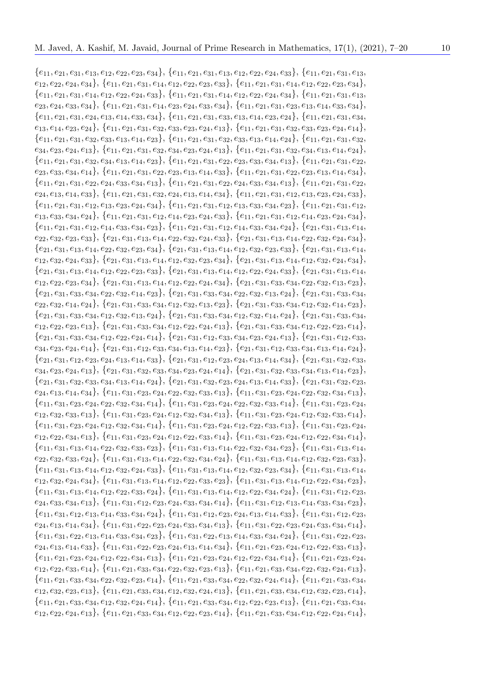${e_{11}, e_{21}, e_{31}, e_{13}, e_{12}, e_{22}, e_{23}, e_{34}}, {e_{11}, e_{21}, e_{31}, e_{13}, e_{12}, e_{22}, e_{24}, e_{33}}, {e_{11}, e_{21}, e_{31}, e_{13}, e_{14}, e_{15}, e_{16}, e_{17}, e_{18}, e_{19}, e_{10}, e_{11}, e_{12}, e_{13}, e_{14}, e_{15}, e_{16}, e_{17}, e_{18}, e_{19}, e_{19}, e_{10}, e_{11}, e_{12}, e_{12}, e_{13}, e_{14}, e_{$  $e_{12}, e_{22}, e_{24}, e_{34}$ ,  $\{e_{11}, e_{21}, e_{31}, e_{14}, e_{12}, e_{22}, e_{23}, e_{33}\}$ ,  $\{e_{11}, e_{21}, e_{31}, e_{14}, e_{12}, e_{22}, e_{23}, e_{34}\}$ ,  ${e_{11}, e_{21}, e_{31}, e_{14}, e_{12}, e_{22}, e_{24}, e_{33}}, {e_{11}, e_{21}, e_{31}, e_{14}, e_{12}, e_{22}, e_{24}, e_{34}}, {e_{11}, e_{21}, e_{31}, e_{13},$  $e_{23}, e_{24}, e_{33}, e_{34}$ ,  $\{e_{11}, e_{21}, e_{31}, e_{14}, e_{23}, e_{24}, e_{33}, e_{34}\}$ ,  $\{e_{11}, e_{21}, e_{31}, e_{23}, e_{13}, e_{14}, e_{33}, e_{34}\}$ ,  ${e_{11}, e_{21}, e_{31}, e_{24}, e_{13}, e_{14}, e_{33}, e_{34}}, {e_{11}, e_{21}, e_{31}, e_{33}, e_{13}, e_{14}, e_{23}, e_{24}}, {e_{11}, e_{21}, e_{31}, e_{34},$  $e_{13}, e_{14}, e_{23}, e_{24}$ ,  $\{e_{11}, e_{21}, e_{31}, e_{32}, e_{33}, e_{23}, e_{24}, e_{13}\}$ ,  $\{e_{11}, e_{21}, e_{31}, e_{32}, e_{33}, e_{23}, e_{24}, e_{14}\}$ ,  $\{e_{11}, e_{21}, e_{31}, e_{32}, e_{33}, e_{13}, e_{14}, e_{23}\}, \{e_{11}, e_{21}, e_{31}, e_{32}, e_{33}, e_{13}, e_{14}, e_{24}\}, \{e_{11}, e_{21}, e_{31}, e_{32}, e_{33}, e_{14}, e_{34}\}$  $e_{34}, e_{23}, e_{24}, e_{13}$ ,  $\{e_{11}, e_{21}, e_{31}, e_{32}, e_{34}, e_{23}, e_{24}, e_{13}\}$ ,  $\{e_{11}, e_{21}, e_{31}, e_{32}, e_{34}, e_{13}, e_{14}, e_{24}\}$ ,  $\{e_{11}, e_{21}, e_{31}, e_{32}, e_{34}, e_{13}, e_{14}, e_{23}\}, \{e_{11}, e_{21}, e_{31}, e_{22}, e_{23}, e_{33}, e_{34}, e_{13}\}, \{e_{11}, e_{21}, e_{31}, e_{22},$  $e_{23}, e_{33}, e_{34}, e_{14}$ ,  $\{e_{11}, e_{21}, e_{31}, e_{22}, e_{23}, e_{13}, e_{14}, e_{33}\}, \{e_{11}, e_{21}, e_{31}, e_{22}, e_{23}, e_{13}, e_{14}, e_{34}\},$  ${e_{11}, e_{21}, e_{31}, e_{22}, e_{24}, e_{33}, e_{34}, e_{13}}, {e_{11}, e_{21}, e_{31}, e_{22}, e_{24}, e_{33}, e_{34}, e_{13}}, {e_{11}, e_{21}, e_{31}, e_{22},$  $e_{24}, e_{13}, e_{14}, e_{33}$ ,  $\{e_{11}, e_{21}, e_{31}, e_{32}, e_{24}, e_{13}, e_{14}, e_{34}\}$ ,  $\{e_{11}, e_{21}, e_{31}, e_{12}, e_{13}, e_{23}, e_{24}, e_{33}\}$ , {e11, e21, e31, e12, e13, e23, e24, e34}, {e11, e21, e31, e12, e13, e33, e34, e23}, {e11, e21, e31, e12,  $e_{13}, e_{33}, e_{34}, e_{24}\}, \{e_{11}, e_{21}, e_{31}, e_{12}, e_{14}, e_{23}, e_{24}, e_{33}\}, \{e_{11}, e_{21}, e_{31}, e_{12}, e_{14}, e_{23}, e_{24}, e_{34}\},\$  ${e_{11}, e_{21}, e_{31}, e_{12}, e_{14}, e_{33}, e_{34}, e_{23}}, {e_{11}, e_{21}, e_{31}, e_{12}, e_{14}, e_{33}, e_{34}, e_{24}}, {e_{21}, e_{31}, e_{13}, e_{14},$  $\{e_{22}, e_{32}, e_{23}, e_{33}\}, \{e_{21}, e_{31}, e_{13}, e_{14}, e_{22}, e_{32}, e_{24}, e_{33}\}, \{e_{21}, e_{31}, e_{13}, e_{14}, e_{22}, e_{32}, e_{24}, e_{34}\},$  ${e_{21}, e_{31}, e_{13}, e_{14}, e_{22}, e_{32}, e_{23}, e_{34}}, {e_{21}, e_{31}, e_{13}, e_{14}, e_{12}, e_{32}, e_{23}, e_{33}}, {e_{21}, e_{31}, e_{13}, e_{14},$  $\{e_{12}, e_{32}, e_{24}, e_{33}\}, \{e_{21}, e_{31}, e_{13}, e_{14}, e_{12}, e_{32}, e_{23}, e_{34}\}, \{e_{21}, e_{31}, e_{13}, e_{14}, e_{12}, e_{32}, e_{24}, e_{34}\},$  ${e_{21}, e_{31}, e_{13}, e_{14}, e_{12}, e_{22}, e_{23}, e_{33}}, {e_{21}, e_{31}, e_{13}, e_{14}, e_{12}, e_{22}, e_{24}, e_{33}}, {e_{21}, e_{31}, e_{13}, e_{14},$  $e_{12}, e_{22}, e_{23}, e_{34}$ ,  $\{e_{21}, e_{31}, e_{13}, e_{14}, e_{12}, e_{22}, e_{24}, e_{34}\}$ ,  $\{e_{21}, e_{31}, e_{33}, e_{34}, e_{22}, e_{32}, e_{13}, e_{23}\}$ , {e21, e31, e33, e34, e22, e32, e14, e23}, {e21, e31, e33, e34, e22, e32, e13, e24}, {e21, e31, e33, e34,  $e_{22}, e_{32}, e_{14}, e_{24}\}, \{e_{21}, e_{31}, e_{33}, e_{34}, e_{12}, e_{32}, e_{13}, e_{23}\}, \{e_{21}, e_{31}, e_{33}, e_{34}, e_{12}, e_{32}, e_{14}, e_{23}\},$  ${e_{21}, e_{31}, e_{33}, e_{34}, e_{12}, e_{32}, e_{13}, e_{24}}, {e_{21}, e_{31}, e_{33}, e_{34}, e_{12}, e_{32}, e_{14}, e_{24}, {e_{21}, e_{31}, e_{33}, e_{34}, e_{12}}$  $e_{12}, e_{22}, e_{23}, e_{13}$ ,  $\{e_{21}, e_{31}, e_{33}, e_{34}, e_{12}, e_{22}, e_{24}, e_{13}$ ,  $\{e_{21}, e_{31}, e_{33}, e_{34}, e_{12}, e_{22}, e_{23}, e_{14}\}$ ,  ${e_{21}, e_{31}, e_{33}, e_{34}, e_{12}, e_{22}, e_{24}, e_{14}}, {e_{21}, e_{31}, e_{12}, e_{33}, e_{34}, e_{23}, e_{24}, e_{13}}, {e_{21}, e_{31}, e_{12}, e_{33},$  $e_{34}, e_{23}, e_{24}, e_{14}$ },  $\{e_{21}, e_{31}, e_{12}, e_{33}, e_{34}, e_{13}, e_{14}, e_{23}\}$ ,  $\{e_{21}, e_{31}, e_{12}, e_{33}, e_{34}, e_{13}, e_{14}, e_{24}\}$ ,  $\{e_{21}, e_{31}, e_{12}, e_{23}, e_{24}, e_{13}, e_{14}, e_{33}\}, \{e_{21}, e_{31}, e_{12}, e_{23}, e_{24}, e_{13}, e_{14}, e_{34}\}, \{e_{21}, e_{31}, e_{32}, e_{33},$  $e_{34}, e_{23}, e_{24}, e_{13}$ ,  $\{e_{21}, e_{31}, e_{32}, e_{33}, e_{34}, e_{23}, e_{24}, e_{14}\}$ ,  $\{e_{21}, e_{31}, e_{32}, e_{33}, e_{34}, e_{13}, e_{14}, e_{23}\}$ ,  $\{e_{21},e_{31},e_{32},e_{33},e_{34},e_{13},e_{14},e_{24}\},\{e_{21},e_{31},e_{32},e_{23},e_{24},e_{13},e_{14},e_{33}\},\{e_{21},e_{31},e_{32},e_{23},e_{34},e_{14},e_{34},e_{15},e_{16},e_{17},e_{18},e_{19},e_{10},e_{11},e_{12},e_{13},e_{14},e_{15},e_{16},e_{17},e_{18},e_{19},e_{10},e_{11},e_{12},e_{13},e_{$  $e_{24}, e_{13}, e_{14}, e_{34}$ ,  $\{e_{11}, e_{31}, e_{23}, e_{24}, e_{22}, e_{32}, e_{33}, e_{13}\}$ ,  $\{e_{11}, e_{31}, e_{23}, e_{24}, e_{22}, e_{32}, e_{34}, e_{13}\}$ , {e11, e31, e23, e24, e22, e32, e34, e14}, {e11, e31, e23, e24, e22, e32, e33, e14}, {e11, e31, e23, e24,  $e_{12}, e_{32}, e_{33}, e_{13}$ ,  $\{e_{11}, e_{31}, e_{23}, e_{24}, e_{12}, e_{32}, e_{34}, e_{13}\}$ ,  $\{e_{11}, e_{31}, e_{23}, e_{24}, e_{12}, e_{32}, e_{33}, e_{14}\}$ ,  ${e_{11}, e_{31}, e_{23}, e_{24}, e_{12}, e_{32}, e_{34}, e_{14}}, {e_{11}, e_{31}, e_{23}, e_{24}, e_{12}, e_{22}, e_{33}, e_{13}}, {e_{11}, e_{31}, e_{23}, e_{24}, e_{12}, e_{24}, e_{14}},$  $e_{12}, e_{22}, e_{34}, e_{13}$ ,  $\{e_{11}, e_{31}, e_{23}, e_{24}, e_{12}, e_{22}, e_{33}, e_{14}\}, \{e_{11}, e_{31}, e_{23}, e_{24}, e_{12}, e_{22}, e_{34}, e_{14}\},$  ${e_{11}, e_{31}, e_{13}, e_{14}, e_{22}, e_{32}, e_{33}, e_{23}}, {e_{11}, e_{31}, e_{13}, e_{14}, e_{22}, e_{32}, e_{34}, e_{23}, {e_{14}, e_{31}, e_{13}, e_{14},$  $e_{22}, e_{32}, e_{33}, e_{24}$ ,  $\{e_{11}, e_{31}, e_{13}, e_{14}, e_{22}, e_{32}, e_{34}, e_{24}\}$ ,  $\{e_{11}, e_{31}, e_{13}, e_{14}, e_{12}, e_{32}, e_{23}, e_{33}\}$ ,  ${e_{11}, e_{31}, e_{13}, e_{14}, e_{12}, e_{32}, e_{24}, e_{33}}, {e_{11}, e_{31}, e_{13}, e_{14}, e_{12}, e_{32}, e_{23}, e_{34}}, {e_{11}, e_{31}, e_{13}, e_{14},$  $e_{12}, e_{32}, e_{24}, e_{34}$ ,  $\{e_{11}, e_{31}, e_{13}, e_{14}, e_{12}, e_{22}, e_{33}, e_{23}\}$ ,  $\{e_{11}, e_{31}, e_{13}, e_{14}, e_{12}, e_{22}, e_{34}, e_{23}\}$ ,  ${e_{11}, e_{31}, e_{13}, e_{14}, e_{12}, e_{22}, e_{33}, e_{24}}, {e_{11}, e_{31}, e_{13}, e_{14}, e_{12}, e_{22}, e_{34}, e_{24}}, {e_{11}, e_{31}, e_{12}, e_{23},$  $e_{24}, e_{33}, e_{34}, e_{13}\}, \{e_{11}, e_{31}, e_{12}, e_{23}, e_{24}, e_{33}, e_{34}, e_{14}\}, \{e_{11}, e_{31}, e_{12}, e_{13}, e_{14}, e_{33}, e_{34}, e_{23}\},$  ${e_{11}, e_{31}, e_{12}, e_{13}, e_{14}, e_{33}, e_{34}, e_{24}}, {e_{11}, e_{31}, e_{12}, e_{23}, e_{24}, e_{13}, e_{14}, e_{33}}, {e_{11}, e_{31}, e_{12}, e_{23},$  $e_{24}, e_{13}, e_{14}, e_{34}$ ,  $\{e_{11}, e_{31}, e_{22}, e_{23}, e_{24}, e_{33}, e_{34}, e_{13}\}$ ,  $\{e_{11}, e_{31}, e_{22}, e_{23}, e_{24}, e_{33}, e_{34}, e_{14}\}$ ,  ${e_{11}, e_{31}, e_{22}, e_{13}, e_{14}, e_{33}, e_{34}, e_{23}}, {e_{11}, e_{31}, e_{22}, e_{13}, e_{14}, e_{33}, e_{34}, e_{24}, e_{11}, e_{31}, e_{22}, e_{23},$  $e_{24}, e_{13}, e_{14}, e_{33}\}, \{e_{11}, e_{31}, e_{22}, e_{23}, e_{24}, e_{13}, e_{14}, e_{34}\}, \{e_{11}, e_{21}, e_{23}, e_{24}, e_{12}, e_{22}, e_{33}, e_{13}\},$  ${e_{11}, e_{21}, e_{23}, e_{24}, e_{12}, e_{22}, e_{34}, e_{13}}, {e_{11}, e_{21}, e_{23}, e_{24}, e_{12}, e_{22}, e_{34}, e_{14}}, {e_{11}, e_{21}, e_{23}, e_{24},$  $e_{12}, e_{22}, e_{33}, e_{14}$ ,  $\{e_{11}, e_{21}, e_{33}, e_{34}, e_{22}, e_{32}, e_{23}, e_{13}\}$ ,  $\{e_{11}, e_{21}, e_{33}, e_{34}, e_{22}, e_{32}, e_{24}, e_{13}\}$ ,  ${e_{11}, e_{21}, e_{33}, e_{34}, e_{22}, e_{32}, e_{23}, e_{14}, {e_{11}, e_{21}, e_{33}, e_{34}, e_{22}, e_{32}, e_{24}, e_{14}, {e_{11}, e_{21}, e_{33}, e_{34}, e_{34}, e_{34}, e_{35}, e_{36}, e_{37}, e_{38}}$  $e_{12}, e_{32}, e_{23}, e_{13}\}, \{e_{11}, e_{21}, e_{33}, e_{34}, e_{12}, e_{32}, e_{24}, e_{13}\}, \{e_{11}, e_{21}, e_{33}, e_{34}, e_{12}, e_{32}, e_{23}, e_{14}\},$  ${e_{11}, e_{21}, e_{33}, e_{34}, e_{12}, e_{32}, e_{24}, e_{14}, e_{11}, e_{21}, e_{33}, e_{34}, e_{12}, e_{22}, e_{23}, e_{13}, e_{14}, e_{21}, e_{33}, e_{34}, e_{12}, e_{34}, e_{14}, e_{15}, e_{16}, e_{17}, e_{18}, e_{19}, e_{10}, e_{11}, e_{11}, e_{12}, e_{13}, e_{14}, e_{15}, e_{16}, e_{17}, e_{18}, e_{19}, e_{19}, e_{10}, e_{11}, e_{11}, e_{12$  $e_{12}, e_{22}, e_{24}, e_{13}$ ,  $\{e_{11}, e_{21}, e_{33}, e_{34}, e_{12}, e_{22}, e_{23}, e_{14}\}$ ,  $\{e_{11}, e_{21}, e_{33}, e_{34}, e_{12}, e_{22}, e_{24}, e_{14}\}$ ,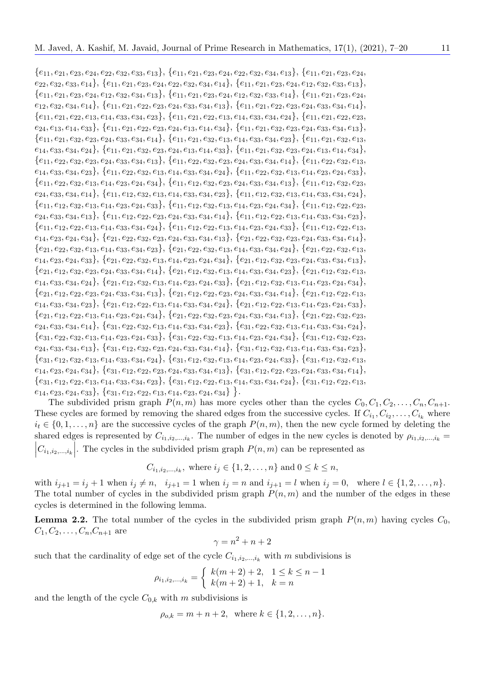${e_{11}, e_{21}, e_{23}, e_{24}, e_{22}, e_{32}, e_{33}, e_{13}}, {e_{11}, e_{21}, e_{23}, e_{24}, e_{22}, e_{32}, e_{34}, e_{13}}, {e_{11}, e_{21}, e_{23}, e_{24}, e_{24}, e_{25}, e_{26}, e_{27}, e_{28}, e_{29}, e_{20}, e_{21}, e_{22}, e_{22}, e_{23}, e_{24}, e_{22}, e_{24}, e_{22}, e_{24}, e_{22}, e_{24}, e_{23}, e_{24}, e_{24}, e_{25}, e_{26}, e_{$  $e_{22}, e_{32}, e_{33}, e_{14}$ ,  $\{e_{11}, e_{21}, e_{23}, e_{24}, e_{22}, e_{32}, e_{34}, e_{14}\}, \{e_{11}, e_{21}, e_{23}, e_{24}, e_{12}, e_{32}, e_{33}, e_{13}\},$  $\{e_{11}, e_{21}, e_{23}, e_{24}, e_{12}, e_{32}, e_{34}, e_{13}\}, \{e_{11}, e_{21}, e_{23}, e_{24}, e_{12}, e_{32}, e_{33}, e_{14}\}, \{e_{11}, e_{21}, e_{23}, e_{24}, e_{12}, e_{32}, e_{34}, e_{14}\}$  $e_{12}, e_{32}, e_{34}, e_{14}$ ,  $\{e_{11}, e_{21}, e_{22}, e_{23}, e_{24}, e_{33}, e_{34}, e_{13}\}, \{e_{11}, e_{21}, e_{22}, e_{23}, e_{24}, e_{33}, e_{34}, e_{14}\},$  ${e_{11}, e_{21}, e_{22}, e_{13}, e_{14}, e_{33}, e_{34}, e_{23}}, {e_{11}, e_{21}, e_{22}, e_{13}, e_{14}, e_{33}, e_{34}, e_{24}, e_{11}, e_{21}, e_{22}, e_{23},$  $e_{24}, e_{13}, e_{14}, e_{33}$ ,  $\{e_{11}, e_{21}, e_{22}, e_{23}, e_{24}, e_{13}, e_{14}, e_{34}\}$ ,  $\{e_{11}, e_{21}, e_{23}, e_{23}, e_{24}, e_{33}, e_{34}, e_{13}\}$ ,  $\{e_{11}, e_{21}, e_{32}, e_{23}, e_{24}, e_{33}, e_{34}, e_{14}\}, \{e_{11}, e_{21}, e_{32}, e_{13}, e_{14}, e_{33}, e_{34}, e_{23}\}, \{e_{11}, e_{21}, e_{32}, e_{13}, e_{34}, e_{34}, e_{34}, e_{34}\}$  $e_{14}, e_{33}, e_{34}, e_{24}$ ,  $\{e_{11}, e_{21}, e_{32}, e_{23}, e_{24}, e_{13}, e_{14}, e_{33}\}$ ,  $\{e_{11}, e_{21}, e_{32}, e_{23}, e_{24}, e_{13}, e_{14}, e_{34}\}$ ,  ${e_{11}, e_{22}, e_{32}, e_{23}, e_{24}, e_{33}, e_{34}, e_{13}}, {e_{11}, e_{22}, e_{32}, e_{23}, e_{24}, e_{33}, e_{34}, e_{14}}, {e_{11}, e_{22}, e_{32}, e_{13},$  $e_{14}, e_{33}, e_{34}, e_{23}\}, \{e_{11}, e_{22}, e_{32}, e_{13}, e_{14}, e_{33}, e_{34}, e_{24}\}, \{e_{11}, e_{22}, e_{32}, e_{13}, e_{14}, e_{23}, e_{24}, e_{33}\},$  ${e_{11}, e_{22}, e_{32}, e_{13}, e_{14}, e_{23}, e_{24}, e_{34}}, {e_{11}, e_{12}, e_{32}, e_{23}, e_{24}, e_{33}, e_{34}, e_{13}}, {e_{11}, e_{12}, e_{32}, e_{23},$  $e_{24}, e_{33}, e_{34}, e_{14}$ ,  $\{e_{11}, e_{12}, e_{32}, e_{13}, e_{14}, e_{33}, e_{34}, e_{23}\}$ ,  $\{e_{11}, e_{12}, e_{32}, e_{13}, e_{14}, e_{33}, e_{34}, e_{24}\}$ ,  ${e_{11}, e_{12}, e_{32}, e_{13}, e_{14}, e_{23}, e_{24}, e_{33}}, {e_{11}, e_{12}, e_{32}, e_{13}, e_{14}, e_{23}, e_{24}, e_{34}}, {e_{11}, e_{12}, e_{22}, e_{23},$  $e_{24}, e_{33}, e_{34}, e_{13}\}, \{e_{11}, e_{12}, e_{22}, e_{23}, e_{24}, e_{33}, e_{34}, e_{14}\}, \{e_{11}, e_{12}, e_{22}, e_{13}, e_{14}, e_{33}, e_{34}, e_{23}\},$  ${e_{11}, e_{12}, e_{22}, e_{13}, e_{14}, e_{33}, e_{34}, e_{24}, e_{11}, e_{12}, e_{22}, e_{13}, e_{14}, e_{23}, e_{24}, e_{33}, e_{14}, e_{12}, e_{22}, e_{13}, e_{14}, e_{15}, e_{16}, e_{17}, e_{18}, e_{19}, e_{10}, e_{11}, e_{12}, e_{13}, e_{14}, e_{15}, e_{16}, e_{17}, e_{18}, e_{19}, e_{10}, e_{11}, e_{12}, e_{13}, e_{14}, e_{15}, e_{16}, e_{17$  $e_{14}, e_{23}, e_{24}, e_{34}\}, \{e_{21}, e_{22}, e_{32}, e_{23}, e_{24}, e_{33}, e_{34}, e_{13}\}, \{e_{21}, e_{22}, e_{32}, e_{23}, e_{24}, e_{33}, e_{34}, e_{14}\},$  ${e_{21}, e_{22}, e_{32}, e_{13}, e_{14}, e_{33}, e_{34}, e_{23}}, {e_{21}, e_{22}, e_{32}, e_{13}, e_{14}, e_{33}, e_{34}, e_{24}}, {e_{21}, e_{22}, e_{32}, e_{13}, e_{14}, e_{33}, e_{34}, e_{34}}$  $e_{14}, e_{23}, e_{24}, e_{33}\}, \{e_{21}, e_{22}, e_{32}, e_{13}, e_{14}, e_{23}, e_{24}, e_{34}\}, \{e_{21}, e_{12}, e_{32}, e_{23}, e_{24}, e_{33}, e_{34}, e_{13}\},$  ${e_{21}, e_{12}, e_{32}, e_{23}, e_{24}, e_{33}, e_{34}, e_{14}}, {e_{21}, e_{12}, e_{32}, e_{13}, e_{14}, e_{33}, e_{34}, e_{23}}, {e_{21}, e_{12}, e_{32}, e_{13}, e_{14}, e_{15}, e_{16}, e_{17}, e_{18}, e_{19}, e_{10}, e_{11}, e_{12}, e_{13}, e_{14}, e_{15}, e_{16}, e_{17}, e_{18}, e_{19}, e_{19}, e_{10}, e_{11}, e_{12}, e_{13}, e_{14}, e_{16}, e_{$  $e_{14}, e_{33}, e_{34}, e_{24}$ ,  $\{e_{21}, e_{12}, e_{32}, e_{13}, e_{14}, e_{23}, e_{24}, e_{33}\}$ ,  $\{e_{21}, e_{12}, e_{32}, e_{13}, e_{14}, e_{23}, e_{24}, e_{34}\}$ ,  ${e_{21}, e_{12}, e_{22}, e_{23}, e_{24}, e_{33}, e_{34}, e_{13}}, {e_{21}, e_{12}, e_{22}, e_{23}, e_{24}, e_{33}, e_{34}, e_{14}}, {e_{21}, e_{12}, e_{22}, e_{13},$  $e_{14}, e_{33}, e_{34}, e_{23}\}, \{e_{21}, e_{12}, e_{22}, e_{13}, e_{14}, e_{33}, e_{34}, e_{24}\}, \{e_{21}, e_{12}, e_{22}, e_{13}, e_{14}, e_{23}, e_{24}, e_{33}\},$  ${e_{21}, e_{12}, e_{22}, e_{13}, e_{14}, e_{23}, e_{24}, e_{34}}, {e_{21}, e_{22}, e_{32}, e_{23}, e_{24}, e_{33}, e_{34}, e_{13}}, {e_{21}, e_{22}, e_{32}, e_{23},}$  $e_{24}, e_{33}, e_{34}, e_{14}$ ,  $\{e_{31}, e_{22}, e_{32}, e_{13}, e_{14}, e_{33}, e_{34}, e_{23}\}$ ,  $\{e_{31}, e_{22}, e_{32}, e_{13}, e_{14}, e_{33}, e_{34}, e_{24}\}$  ${e_{31}, e_{22}, e_{32}, e_{13}, e_{14}, e_{23}, e_{24}, e_{33}}, {e_{31}, e_{22}, e_{32}, e_{13}, e_{14}, e_{23}, e_{24}, e_{34}}, {e_{31}, e_{12}, e_{32}, e_{23}, e_{23}, e_{24}, e_{24}, e_{25}, e_{26}, e_{27}, e_{28}, e_{29}, e_{20}, e_{21}, e_{22}, e_{23}, e_{24}, e_{26}, e_{27}, e_{28}, e_{29}, e_{20}, e_{21}, e_{22}, e_{23}, e_{24}, e_{26}, e_{$  $e_{24}, e_{33}, e_{34}, e_{13}$ ,  $\{e_{31}, e_{12}, e_{32}, e_{23}, e_{24}, e_{33}, e_{34}, e_{14}$ ,  $\{e_{31}, e_{12}, e_{32}, e_{13}, e_{14}, e_{33}, e_{34}, e_{23} \}$ ,  ${e_{31}, e_{12}, e_{32}, e_{13}, e_{14}, e_{33}, e_{34}, e_{24}}, {e_{31}, e_{12}, e_{32}, e_{13}, e_{14}, e_{23}, e_{24}, e_{33}}, {e_{31}, e_{12}, e_{32}, e_{13}, e_{14}, e_{24}, e_{25}, e_{26}, e_{27}, e_{28}, e_{29}, e_{20}, e_{21}, e_{22}, e_{22}, e_{23}, e_{24}, e_{26}, e_{27}, e_{28}, e_{29}, e_{20}, e_{21}, e_{22}, e_{22}, e_{23}, e_{24}, e_{$  $e_{14}, e_{23}, e_{24}, e_{34}\}, \{e_{31}, e_{12}, e_{22}, e_{23}, e_{24}, e_{33}, e_{34}, e_{13}\}, \{e_{31}, e_{12}, e_{22}, e_{23}, e_{24}, e_{33}, e_{34}, e_{14}\},$  ${e_{31}, e_{12}, e_{22}, e_{13}, e_{14}, e_{33}, e_{34}, e_{23}, e_{14}, e_{12}, e_{22}, e_{13}, e_{14}, e_{33}, e_{34}, e_{24}, e_{24}, e_{12}, e_{22}, e_{13}, e_{14}, e_{15}, e_{16}, e_{17}, e_{18}, e_{19}, e_{19}, e_{10}, e_{11}, e_{12}, e_{13}, e_{14}, e_{15}, e_{16}, e_{17}, e_{18}, e_{19}, e_{19}, e_{10}, e_{11}, e_{12}, e_{13}, e_{14}, e_{16$  $\{e_{14},e_{23},e_{24},e_{33}\},\,\{e_{31},e_{12},e_{22},e_{13},e_{14},e_{23},e_{24},e_{34}\}\,\,\bigr\}.$ 

The subdivided prism graph  $P(n, m)$  has more cycles other than the cycles  $C_0, C_1, C_2, \ldots, C_n, C_{n+1}$ . These cycles are formed by removing the shared edges from the successive cycles. If  $C_{i_1}, C_{i_2}, \ldots, C_{i_k}$  where  $i_t \in \{0, 1, \ldots, n\}$  are the successive cycles of the graph  $P(n, m)$ , then the new cycle formed by deleting the shared edges is represented by  $C_{i_1,i_2,\dots,i_k}$ . The number of edges in the new cycles is denoted by  $\rho_{i_1,i_2,\dots,i_k} =$ <br> $C_{i_1,i_2,\dots,i_k}$  $|C_{i_1,i_2,\dots,i_k}|$ . The cycles in the subdivided prism graph  $P(n,m)$  can be represented as

$$
C_{i_1,i_2,...,i_k}
$$
, where  $i_j \in \{1,2,...,n\}$  and  $0 \le k \le n$ ,

with  $i_{j+1} = i_j + 1$  when  $i_j \neq n$ ,  $i_{j+1} = 1$  when  $i_j = n$  and  $i_{j+1} = l$  when  $i_j = 0$ , where  $l \in \{1, 2, ..., n\}$ . The total number of cycles in the subdivided prism graph  $P(n, m)$  and the number of the edges in these cycles is determined in the following lemma.

<span id="page-4-0"></span>**Lemma 2.2.** The total number of the cycles in the subdivided prism graph  $P(n,m)$  having cycles  $C_0$ ,  $C_1, C_2, \ldots, C_n, C_{n+1}$  are

$$
\gamma = n^2 + n + 2
$$

such that the cardinality of edge set of the cycle  $C_{i_1,i_2,\dots,i_k}$  with m subdivisions is

$$
\rho_{i_1, i_2, \dots, i_k} = \begin{cases} k(m+2) + 2, & 1 \le k \le n-1 \\ k(m+2) + 1, & k = n \end{cases}
$$

and the length of the cycle  $C_{0,k}$  with m subdivisions is

$$
\rho_{o,k} = m + n + 2
$$
, where  $k \in \{1, 2, ..., n\}$ .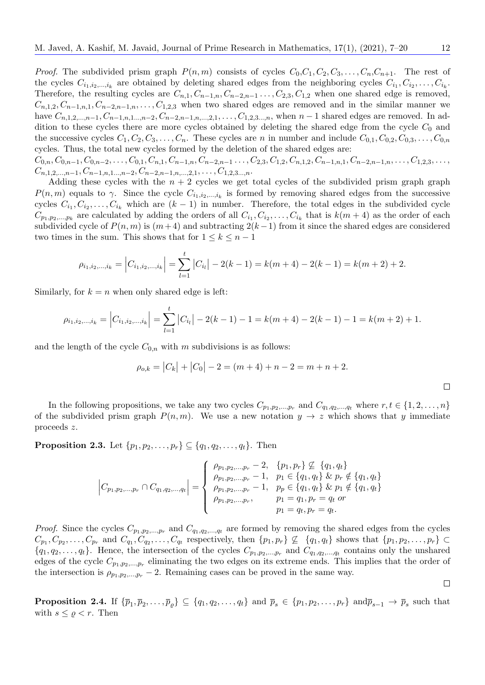*Proof.* The subdivided prism graph  $P(n,m)$  consists of cycles  $C_0, C_1, C_2, C_3, \ldots, C_n, C_{n+1}$ . The rest of the cycles  $C_{i_1,i_2,...,i_k}$  are obtained by deleting shared edges from the neighboring cycles  $C_{i_1}, C_{i_2},..., C_{i_k}$ . Therefore, the resulting cycles are  $C_{n,1}, C_{n-1,n}, C_{n-2,n-1}, \ldots, C_{2,3}, C_{1,2}$  when one shared edge is removed,  $C_{n,1,2}, C_{n-1,n,1}, C_{n-2,n-1,n}, \ldots, C_{1,2,3}$  when two shared edges are removed and in the similar manner we have  $C_{n,1,2,...,n-1}, C_{n-1,n,1...,n-2}, C_{n-2,n-1,n,...,2,1}, \ldots, C_{1,2,3...,n}$ , when  $n-1$  shared edges are removed. In addition to these cycles there are more cycles obtained by deleting the shared edge from the cycle  $C_0$  and the successive cycles  $C_1, C_2, C_3, \ldots, C_n$ . These cycles are n in number and include  $C_{0,1}, C_{0,2}, C_{0,3}, \ldots, C_{0,n}$ cycles. Thus, the total new cycles formed by the deletion of the shared edges are:  $C_{0,n}, C_{0,n-1}, C_{0,n-2}, \ldots, C_{0,1}, C_{n,1}, C_{n-1,n}, C_{n-2,n-1} \ldots, C_{2,3}, C_{1,2}, C_{n,1,2}, C_{n-1,n,1}, C_{n-2,n-1,n}, \ldots, C_{1,2,3}, \ldots,$  $C_{n,1,2,\ldots,n-1}, C_{n-1,n,1\ldots,n-2}, C_{n-2,n-1,n,\ldots,2,1}, \ldots, C_{1,2,3\ldots,n}.$ 

Adding these cycles with the  $n + 2$  cycles we get total cycles of the subdivided prism graph graph  $P(n,m)$  equals to  $\gamma$ . Since the cycle  $C_{i_1,i_2,\dots,i_k}$  is formed by removing shared edges from the successive cycles  $C_{i_1}, C_{i_2}, \ldots, C_{i_k}$  which are  $(k-1)$  in number. Therefore, the total edges in the subdivided cycle  $C_{p_1,p_2,...,p_k}$  are calculated by adding the orders of all  $C_{i_1}, C_{i_2},..., C_{i_k}$  that is  $k(m+4)$  as the order of each subdivided cycle of  $P(n, m)$  is  $(m+4)$  and subtracting  $2(k-1)$  from it since the shared edges are considered two times in the sum. This shows that for  $1 \leq k \leq n-1$ 

$$
\rho_{i_1,i_2,\dots,i_k} = \left| C_{i_1,i_2,\dots,i_k} \right| = \sum_{l=1}^t \left| C_{i_l} \right| - 2(k-1) = k(m+4) - 2(k-1) = k(m+2) + 2.
$$

Similarly, for  $k = n$  when only shared edge is left:

$$
\rho_{i_1,i_2,\dots,i_k} = \left| C_{i_1,i_2,\dots,i_k} \right| = \sum_{l=1}^t \left| C_{i_l} \right| - 2(k-1) - 1 = k(m+4) - 2(k-1) - 1 = k(m+2) + 1.
$$

and the length of the cycle  $C_{0,n}$  with m subdivisions is as follows:

$$
\rho_{o,k} = |C_k| + |C_0| - 2 = (m+4) + n - 2 = m + n + 2.
$$

 $\Box$ 

In the following propositions, we take any two cycles  $C_{p_1,p_2,...,p_r}$  and  $C_{q_1,q_2,...,q_t}$  where  $r, t \in \{1,2,...,n\}$ of the subdivided prism graph  $P(n, m)$ . We use a new notation  $y \to z$  which shows that y immediate proceeds z.

<span id="page-5-0"></span>**Proposition 2.3.** Let  $\{p_1, p_2, ..., p_r\} \subseteq \{q_1, q_2, ..., q_t\}$ . Then

$$
\begin{vmatrix} C_{p_1,p_2,...,p_r} \cap C_{q_1,q_2,...,q_t} \end{vmatrix} = \begin{cases} \begin{array}{c} \rho_{p_1,p_2,...,p_r} - 2, & \{p_1,p_r\} \not\subseteq \{q_1,q_t\} \\ \begin{array}{c} \rho_{p_1,p_2,...,p_r} - 1, & p_1 \in \{q_1,q_t\} \& p_r \notin \{q_1,q_t\} \\ \begin{array}{c} \rho_{p_1,p_2,...,p_r} - 1, & p_p \in \{q_1,q_t\} \not\subseteq p_1 \notin \{q_1,q_t\} \\ \begin{array}{c} \rho_{p_1,p_2,...,p_r}, & p_1 = q_1, p_r = q_t \text{ or } \\ \end{array} \end{cases} \end{cases}
$$

*Proof.* Since the cycles  $C_{p_1,p_2,...,p_r}$  and  $C_{q_1,q_2,...,q_t}$  are formed by removing the shared edges from the cycles  $C_{p_1}, C_{p_2}, \ldots, C_{p_r}$  and  $C_{q_1}, C_{q_2}, \ldots, C_{q_t}$  respectively, then  $\{p_1, p_r\} \nsubseteq \{q_1, q_t\}$  shows that  $\{p_1, p_2, \ldots, p_r\} \subset$  ${q_1, q_2, \ldots, q_t}$ . Hence, the intersection of the cycles  $C_{p_1, p_2, \ldots, p_r}$  and  $C_{q_1, q_2, \ldots, q_t}$  contains only the unshared edges of the cycle  $C_{p_1,p_2,...,p_r}$  eliminating the two edges on its extreme ends. This implies that the order of the intersection is  $\rho_{p_1,p_2,...,p_r}$  – 2. Remaining cases can be proved in the same way.  $\Box$ 

<span id="page-5-1"></span>**Proposition 2.4.** If  $\{\overline{p}_1, \overline{p}_2, \ldots, \overline{p}_\varrho\} \subseteq \{q_1, q_2, \ldots, q_t\}$  and  $\overline{p}_s \in \{p_1, p_2, \ldots, p_r\}$  and  $\overline{p}_{s-1} \to \overline{p}_s$  such that with  $s \leq \varrho < r$ . Then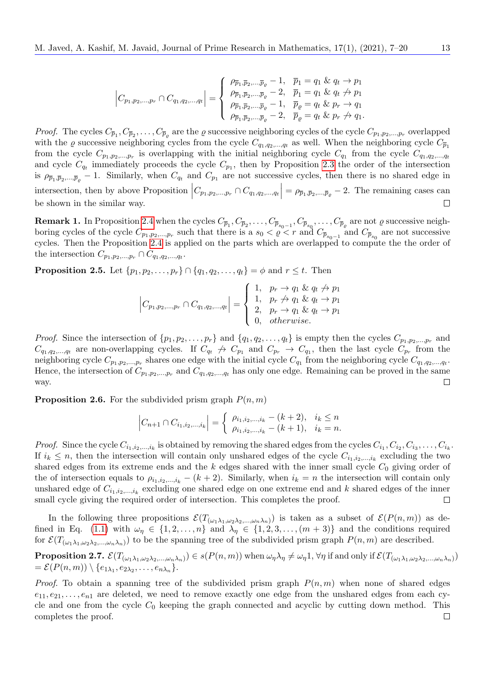$$
\left| C_{p_1, p_2, \dots, p_r} \cap C_{q_1, q_2, \dots, q_t} \right| = \begin{cases} \n\rho_{\overline{p}_1, \overline{p}_2, \dots, \overline{p}_\varrho} - 1, & \overline{p}_1 = q_1 \; \& q_t \to p_1 \\ \n\rho_{\overline{p}_1, \overline{p}_2, \dots, \overline{p}_\varrho} - 2, & \overline{p}_1 = q_1 \; \& q_t \not\to p_1 \\ \n\rho_{\overline{p}_1, \overline{p}_2, \dots, \overline{p}_\varrho} - 1, & \overline{p}_\varrho = q_t \; \& p_r \to q_1 \\ \n\rho_{\overline{p}_1, \overline{p}_2, \dots, \overline{p}_\varrho} - 2, & \overline{p}_\varrho = q_t \; \& p_r \not\to q_1. \n\end{cases}
$$

*Proof.* The cycles  $C_{\bar{p}_1}, C_{\bar{p}_2}, \ldots, C_{\bar{p}_\varrho}$  are the  $\varrho$  successive neighboring cycles of the cycle  $C_{p_1, p_2, \ldots, p_r}$  overlapped with the  $\varrho$  successive neighboring cycles from the cycle  $C_{q_1,q_2,\dots,q_t}$  as well. When the neighboring cycle  $C_{\bar{p}_1}$ from the cycle  $C_{p_1,p_2,...,p_r}$  is overlapping with the initial neighboring cycle  $C_{q_1}$  from the cycle  $C_{q_1,q_2,...,q_t}$ and cycle  $C_{q_t}$  immediately proceeds the cycle  $C_{p_1}$ , then by Proposition [2.3](#page-5-0) the order of the intersection is  $\rho_{\bar{p}_1,\bar{p}_2,...,\bar{p}_\varrho}$  - 1. Similarly, when  $C_{q_t}$  and  $C_{p_1}$  are not successive cycles, then there is no shared edge in intersection, then by above Proposition  $|C_{p_1,p_2,...,p_r} \cap C_{q_1,q_2,...,q_t}| = \rho_{\overline{p}_1,\overline{p}_2,...,\overline{p}_\varrho} - 2$ . The remaining cases can be shown in the similar way.  $\Box$ 

**Remark 1.** In Proposition [2.4](#page-5-1) when the cycles  $C_{\overline{p}_1}, C_{\overline{p}_2}, \ldots, C_{\overline{p}_{s_0-1}}, C_{\overline{p}_{s_0}}, \ldots, C_{\overline{p}_{\varrho}}$  are not  $\varrho$  successive neighboring cycles of the cycle  $C_{p_1,p_2,...,p_r}$  such that there is a  $s_0 < \varrho < r$  and  $C_{\overline{p}_{s_0-1}}$  and  $C_{\overline{p}_{s_0}}$  are not successive cycles. Then the Proposition [2.4](#page-5-1) is applied on the parts which are overlapped to compute the the order of the intersection  $C_{p_1,p_2,\dots,p_r} \cap C_{q_1,q_2,\dots,q_t}$ .

<span id="page-6-0"></span>**Proposition 2.5.** Let  $\{p_1, p_2, ..., p_r\} \cap \{q_1, q_2, ..., q_t\} = \phi$  and  $r \leq t$ . Then

$$
\left| C_{p_1, p_2, \dots, p_r} \cap C_{q_1, q_2, \dots, q_t} \right| = \begin{cases} 1, & p_r \to q_1 \& q_t \nleftrightarrow p_1 \\ 1, & p_r \nleftrightarrow q_1 \& q_t \to p_1 \\ 2, & p_r \to q_1 \& q_t \to p_1 \\ 0, & otherwise. \end{cases}
$$

*Proof.* Since the intersection of  $\{p_1, p_2, \ldots, p_r\}$  and  $\{q_1, q_2, \ldots, q_t\}$  is empty then the cycles  $C_{p_1, p_2, \ldots, p_r}$  and  $C_{q_1,q_2,...,q_t}$  are non-overlapping cycles. If  $C_{q_t} \not\to C_{p_1}$  and  $C_{p_r} \to C_{q_1}$ , then the last cycle  $C_{p_r}$  from the neighboring cycle  $C_{p_1,p_2,...,p_r}$  shares one edge with the initial cycle  $C_{q_1}$  from the neighboring cycle  $C_{q_1,q_2,...,q_t}$ . Hence, the intersection of  $C_{p_1,p_2,...,p_r}$  and  $C_{q_1,q_2,...,q_t}$  has only one edge. Remaining can be proved in the same  $\Box$ way.

**Proposition 2.6.** For the subdivided prism graph  $P(n, m)$ 

$$
\left|C_{n+1}\cap C_{i_1,i_2,\dots,i_k}\right| = \begin{cases} \rho_{i_1,i_2,\dots,i_k} - (k+2), & i_k \leq n \\ \rho_{i_1,i_2,\dots,i_k} - (k+1), & i_k = n. \end{cases}
$$

*Proof.* Since the cycle  $C_{i_1,i_2,\dots,i_k}$  is obtained by removing the shared edges from the cycles  $C_{i_1}, C_{i_2}, C_{i_3}, \dots, C_{i_k}$ . If  $i_k \leq n$ , then the intersection will contain only unshared edges of the cycle  $C_{i_1,i_2,\dots,i_k}$  excluding the two shared edges from its extreme ends and the  $k$  edges shared with the inner small cycle  $C_0$  giving order of the of intersection equals to  $\rho_{i_1,i_2,...,i_k} - (k+2)$ . Similarly, when  $i_k = n$  the intersection will contain only unshared edge of  $C_{i_1,i_2,\dots,i_k}$  excluding one shared edge on one extreme end and k shared edges of the inner small cycle giving the required order of intersection. This completes the proof.  $\Box$ 

In the following three propositions  $\mathcal{E}(T_{(\omega_1\lambda_1,\omega_2\lambda_2,\dots,\omega_n\lambda_n)})$  is taken as a subset of  $\mathcal{E}(P(n,m))$  as de-fined in Eq. [\(1.1\)](#page-1-1) with  $\omega_{\eta} \in \{1, 2, \ldots, n\}$  and  $\lambda_{\eta} \in \{1, 2, 3, \ldots, (m+3)\}\$ and the conditions required for  $\mathcal{E}(T_{(\omega_1\lambda_1,\omega_2\lambda_2,\dots,\omega_n\lambda_n)})$  to be the spanning tree of the subdivided prism graph  $P(n,m)$  are described.

<span id="page-6-1"></span> $\mathbf{Proposition 2.7.}$   $\mathcal{E}(T_{(\omega_1\lambda_1,\omega_2\lambda_2,...,\omega_n\lambda_n)}) \in s(P(n,m))$  when  $\omega_\eta\lambda_\eta \neq \omega_\eta 1$ ,  $\forall \eta$  if and only if  $\mathcal{E}(T_{(\omega_1\lambda_1,\omega_2\lambda_2,...,\omega_n\lambda_n)})$  $=\mathcal{E}(P(n,m))\setminus\{e_{1\lambda_1},e_{2\lambda_2},\ldots,e_{n\lambda_n}\}.$ 

*Proof.* To obtain a spanning tree of the subdivided prism graph  $P(n, m)$  when none of shared edges  $e_{11}, e_{21}, \ldots, e_{n1}$  are deleted, we need to remove exactly one edge from the unshared edges from each cycle and one from the cycle  $C_0$  keeping the graph connected and acyclic by cutting down method. This completes the proof. $\Box$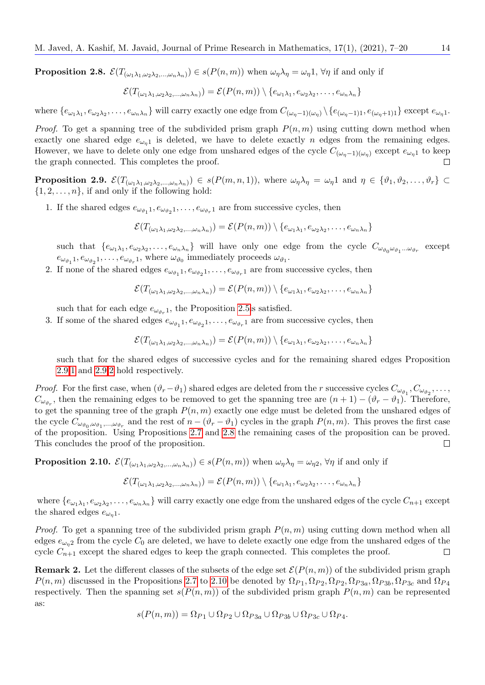<span id="page-7-3"></span>**Proposition 2.8.**  $\mathcal{E}(T_{(\omega_1\lambda_1,\omega_2\lambda_2,\dots,\omega_n\lambda_n)}) \in s(P(n,m))$  when  $\omega_\eta \lambda_\eta = \omega_\eta 1$ ,  $\forall \eta$  if and only if

$$
\mathcal{E}(T_{(\omega_1\lambda_1,\omega_2\lambda_2,\dots,\omega_n\lambda_n)})=\mathcal{E}(P(n,m))\setminus\{e_{\omega_1\lambda_1},e_{\omega_2\lambda_2},\dots,e_{\omega_n\lambda_n}\}\
$$

where  $\{e_{\omega_1\lambda_1},e_{\omega_2\lambda_2},\ldots,e_{\omega_n\lambda_n}\}\$  will carry exactly one edge from  $C_{(\omega_\eta-1)(\omega_\eta)}\setminus\{e_{(\omega_\eta-1)1},e_{(\omega_\eta+1)1}\}\)$  except  $e_{\omega_\eta}$ .

*Proof.* To get a spanning tree of the subdivided prism graph  $P(n, m)$  using cutting down method when exactly one shared edge  $e_{\omega_n}$  is deleted, we have to delete exactly n edges from the remaining edges. However, we have to delete only one edge from unshared edges of the cycle  $C_{(\omega_n-1)(\omega_n)}$  except  $e_{\omega_n}$  to keep the graph connected. This completes the proof.

<span id="page-7-0"></span>**Proposition 2.9.**  $\mathcal{E}(T_{(\omega_1\lambda_1,\omega_2\lambda_2,\dots,\omega_n\lambda_n)}) \in s(P(m,n,1)),$  where  $\omega_\eta\lambda_\eta = \omega_\eta 1$  and  $\eta \in {\{\vartheta_1,\vartheta_2,\dots,\vartheta_r\}} \subset$  $\{1, 2, \ldots, n\}$ , if and only if the following hold:

<span id="page-7-1"></span>1. If the shared edges  $e_{\omega_{\vartheta_1}1}, e_{\omega_{\vartheta_2}1}, \ldots, e_{\omega_{\vartheta_r}1}$  are from successive cycles, then

$$
\mathcal{E}(T_{(\omega_1\lambda_1,\omega_2\lambda_2,\dots,\omega_n\lambda_n)})=\mathcal{E}(P(n,m))\setminus\{e_{\omega_1\lambda_1},e_{\omega_2\lambda_2},\dots,e_{\omega_n\lambda_n}\}\
$$

such that  $\{e_{\omega_1\lambda_1}, e_{\omega_2\lambda_2}, \ldots, e_{\omega_n\lambda_n}\}\$  will have only one edge from the cycle  $C_{\omega_{\vartheta_0}\omega_{\vartheta_1}...\omega_{\vartheta_r}}\$ except  $e_{\omega_{\vartheta_1}1}, e_{\omega_{\vartheta_2}1}, \ldots, e_{\omega_{\vartheta_r}1}$ , where  $\omega_{\vartheta_0}$  immediately proceeds  $\omega_{\vartheta_1}$ .

<span id="page-7-2"></span>2. If none of the shared edges  $e_{\omega_{\vartheta_1} 1}, e_{\omega_{\vartheta_2} 1}, \ldots, e_{\omega_{\vartheta_r} 1}$  are from successive cycles, then

$$
\mathcal{E}(T_{(\omega_1\lambda_1,\omega_2\lambda_2,\dots,\omega_n\lambda_n)})=\mathcal{E}(P(n,m))\setminus\{e_{\omega_1\lambda_1},e_{\omega_2\lambda_2},\dots,e_{\omega_n\lambda_n}\}\
$$

such that for each edge  $e_{\omega_{\vartheta_r}1}$ , the Proposition [2.5i](#page-6-0)s satisfied.

3. If some of the shared edges  $e_{\omega_{\theta_1}1}, e_{\omega_{\theta_2}1}, \ldots, e_{\omega_{\theta_r}1}$  are from successive cycles, then

$$
\mathcal{E}(T_{(\omega_1\lambda_1,\omega_2\lambda_2,\dots,\omega_n\lambda_n)})=\mathcal{E}(P(n,m))\setminus\{e_{\omega_1\lambda_1},e_{\omega_2\lambda_2},\dots,e_{\omega_n\lambda_n}\}
$$

such that for the shared edges of successive cycles and for the remaining shared edges Proposition [2.9.](#page-7-0)[1](#page-7-1) and [2.9.](#page-7-0)[2](#page-7-2) hold respectively.

*Proof.* For the first case, when  $(\vartheta_r - \vartheta_1)$  shared edges are deleted from the r successive cycles  $C_{\omega_{\vartheta_1}}, C_{\omega_{\vartheta_2}}, \ldots$  $C_{\omega_{\vartheta_r}}$ , then the remaining edges to be removed to get the spanning tree are  $(n+1) - (\vartheta_r - \vartheta_1)$ . Therefore, to get the spanning tree of the graph  $P(n, m)$  exactly one edge must be deleted from the unshared edges of the cycle  $C_{\omega_{\vartheta_0},\omega_{\vartheta_1},\dots,\omega_{\vartheta_r}}$  and the rest of  $n-(\vartheta_r-\vartheta_1)$  cycles in the graph  $P(n,m)$ . This proves the first case of the proposition. Using Propositions [2.7](#page-6-1) and [2.8](#page-7-3) the remaining cases of the proposition can be proved. This concludes the proof of the proposition.  $\Box$ 

<span id="page-7-4"></span>**Proposition 2.10.**  $\mathcal{E}(T_{(\omega_1\lambda_1,\omega_2\lambda_2,\dots,\omega_n\lambda_n)}) \in s(P(n,m))$  when  $\omega_\eta \lambda_\eta = \omega_{\eta 2}$ ,  $\forall \eta$  if and only if

$$
\mathcal{E}(T_{(\omega_1\lambda_1,\omega_2\lambda_2,\dots,\omega_n\lambda_n)})=\mathcal{E}(P(n,m))\setminus\{e_{\omega_1\lambda_1},e_{\omega_2\lambda_2},\dots,e_{\omega_n\lambda_n}\}
$$

where  $\{e_{\omega_1\lambda_1},e_{\omega_2\lambda_2},\ldots,e_{\omega_n\lambda_n}\}$  will carry exactly one edge from the unshared edges of the cycle  $C_{n+1}$  except the shared edges  $e_{\omega_n 1}$ .

*Proof.* To get a spanning tree of the subdivided prism graph  $P(n, m)$  using cutting down method when all edges  $e_{\omega_n}$  from the cycle  $C_0$  are deleted, we have to delete exactly one edge from the unshared edges of the cycle  $C_{n+1}$  except the shared edges to keep the graph connected. This completes the proof.  $\Box$ 

<span id="page-7-5"></span>**Remark 2.** Let the different classes of the subsets of the edge set  $\mathcal{E}(P(n,m))$  of the subdivided prism graph  $P(n,m)$  discussed in the Propositions [2.7](#page-6-1) to [2.10](#page-7-4) be denoted by  $\Omega_{P1}, \Omega_{P2}, \Omega_{P2}, \Omega_{P3a}, \Omega_{P3b}, \Omega_{P3c}$  and  $\Omega_{P4}$ respectively. Then the spanning set  $s(P(n,m))$  of the subdivided prism graph  $P(n,m)$  can be represented as:

$$
s(P(n,m)) = \Omega_{P1} \cup \Omega_{P2} \cup \Omega_{P3a} \cup \Omega_{P3b} \cup \Omega_{P3c} \cup \Omega_{P4}.
$$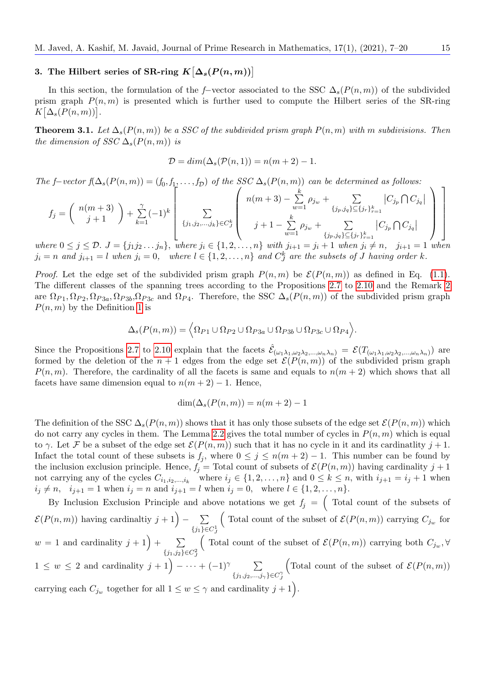### <span id="page-8-0"></span>3. The Hilbert series of SR-ring  $K\big[\Delta_s(P(n,m))\big]$

In this section, the formulation of the f–vector associated to the SSC  $\Delta_s(P(n,m))$  of the subdivided prism graph  $P(n, m)$  is presented which is further used to compute the Hilbert series of the SR-ring  $K[\Delta_s(P(n,m))].$ 

<span id="page-8-1"></span>**Theorem 3.1.** Let  $\Delta_s(P(n,m))$  be a SSC of the subdivided prism graph  $P(n,m)$  with m subdivisions. Then the dimension of SSC  $\Delta_s(P(n,m))$  is

$$
\mathcal{D} = dim(\Delta_s(\mathcal{P}(n,1)) = n(m+2) - 1.
$$

The f-vector  $f(\Delta_s(P(n,m)) = (f_0, f_1, \ldots, f_D)$  of the SSC  $\Delta_s(P(n,m))$  can be determined as follows.

$$
f_j = \begin{pmatrix} n(m+3) \\ j+1 \end{pmatrix} + \sum_{k=1}^{\gamma} (-1)^k \begin{bmatrix} \sum_{\{j_1, j_2, \dots, j_k\} \in C_j^k} \begin{pmatrix} n(m+3) - \sum_{w=1}^k \rho_{j_w} + \sum_{\{j_p, j_q\} \subseteq \{j_r\}_{r=1}^k} |C_{j_p} \bigcap C_{j_q}| \\ j+1 - \sum_{w=1}^k \rho_{j_w} + \sum_{\{j_p, j_q\} \subseteq \{j_r\}_{r=1}^k} |C_{j_p} \bigcap C_{j_q}| \end{pmatrix} \end{pmatrix}
$$

where  $0 \le j \le \mathcal{D}$ .  $J = \{j_1 j_2 \ldots j_n\}$ , where  $j_i \in \{1, 2, \ldots, n\}$  with  $j_{i+1} = j_i + 1$  when  $j_i \ne n$ ,  $j_{i+1} = 1$  when  $j_i = n$  and  $j_{i+1} = l$  when  $j_i = 0$ , where  $l \in \{1, 2, ..., n\}$  and  $C_J^k$  are the subsets of J having order k.

*Proof.* Let the edge set of the subdivided prism graph  $P(n,m)$  be  $\mathcal{E}(P(n,m))$  as defined in Eq. [\(1.1\)](#page-1-1). The different classes of the spanning trees according to the Propositions [2.7](#page-6-1) to [2.10](#page-7-4) and the Remark [2](#page-7-5) are  $\Omega_{P1}, \Omega_{P2}, \Omega_{P3a}, \Omega_{P3b}, \Omega_{P3c}$  and  $\Omega_{P4}$ . Therefore, the SSC  $\Delta_s(P(n,m))$  of the subdivided prism graph  $P(n, m)$  by the Definition [1](#page-1-2) is

$$
\Delta_s(P(n,m)) = \langle \Omega_{P1} \cup \Omega_{P2} \cup \Omega_{P3a} \cup \Omega_{P3b} \cup \Omega_{P3c} \cup \Omega_{P4} \rangle.
$$

Since the Propositions [2.7](#page-6-1) to [2.10](#page-7-4) explain that the facets  $\hat{\mathcal{E}}_{(\omega_1\lambda_1,\omega_2\lambda_2,\dots,\omega_n\lambda_n)} = \mathcal{E}(T_{(\omega_1\lambda_1,\omega_2\lambda_2,\dots,\omega_n\lambda_n)})$  are formed by the deletion of the  $n + 1$  edges from the edge set  $\mathcal{E}(P(n,m))$  of the subdivided prism graph  $P(n, m)$ . Therefore, the cardinality of all the facets is same and equals to  $n(m + 2)$  which shows that all facets have same dimension equal to  $n(m+2) - 1$ . Hence,

$$
\dim(\Delta_s(P(n,m)) = n(m+2) - 1
$$

The definition of the SSC  $\Delta_s(P(n,m))$  shows that it has only those subsets of the edge set  $\mathcal{E}(P(n,m))$  which do not carry any cycles in them. The Lemma [2.2](#page-4-0) gives the total number of cycles in  $P(n, m)$  which is equal to  $\gamma$ . Let F be a subset of the edge set  $\mathcal{E}(P(n,m))$  such that it has no cycle in it and its cardinatlity  $j+1$ . Infact the total count of these subsets is  $f_j$ , where  $0 \leq j \leq n(m+2)-1$ . This number can be found by the inclusion exclusion principle. Hence,  $f_j$  = Total count of subsets of  $\mathcal{E}(P(n,m))$  having cardinality  $j+1$ not carrying any of the cycles  $C_{i_1,i_2,...,i_k}$  where  $i_j \in \{1,2,...,n\}$  and  $0 \leq k \leq n$ , with  $i_{j+1} = i_j + 1$  when  $i_j \neq n$ ,  $i_{j+1} = 1$  when  $i_j = n$  and  $i_{j+1} = l$  when  $i_j = 0$ , where  $l \in \{1, 2, ..., n\}$ .

By Inclusion Exclusion Principle and above notations we get  $f_j = \begin{pmatrix} 1 \end{pmatrix}$  Total count of the subsets of  $\mathcal{E}(P(n,m))$  having cardinaltiy  $j+1$ ) –  $\sum$  ${j_1}$  ∈  $C_J^1$ (Total count of the subset of  $\mathcal{E}(P(n,m))$  carrying  $C_{j_w}$  for  $w = 1$  and cardinality  $j + 1$  +  $\sum$  ${j_1,j_2}\in C_J^2$ Total count of the subset of  $\mathcal{E}(P(n,m))$  carrying both  $C_{j_w}$ ,  $\forall$  $1 \leq w \leq 2$  and cardinality  $j + 1$  $- \cdots + (-1)^{\gamma}$   $\sum$  $\overline{\{j_1,j_2,...,j_{\gamma}}\} \in C_J^{\gamma}$ Total count of the subset of  $\mathcal{E}(P(n,m))$ carrying each  $C_{j_w}$  together for all  $1 \leq w \leq \gamma$  and cardinality  $j + 1$ .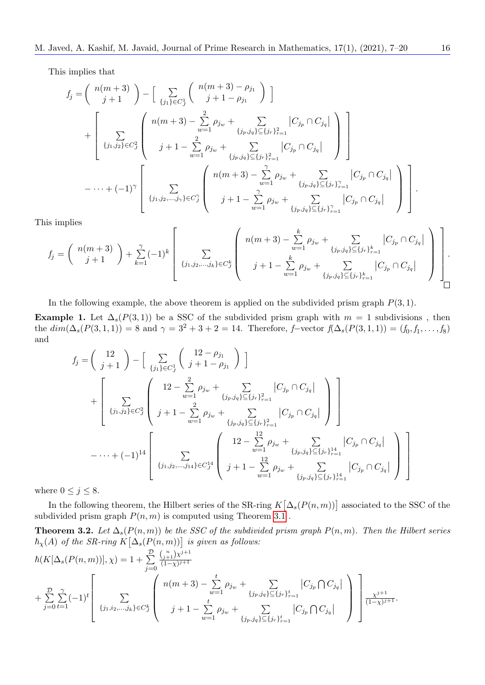This implies that

$$
f_{j} = \begin{pmatrix} n(m+3) \\ j+1 \end{pmatrix} - \begin{bmatrix} \sum_{\{j_{1}\}\in C_{j}^{1}} {n(m+3) - \rho_{j_{1}}} \\ j+1-\rho_{j_{1}} \end{bmatrix} + \begin{bmatrix} n(m+3) - \sum_{w=1}^{2} \rho_{j_{w}} + \sum_{\{j_{p},j_{q}\}\subseteq\{j_{r}\}_{r=1}^{2}} |C_{j_{p}} \cap C_{j_{q}}| \\ \sum_{\{j_{1},j_{2}\}\in C_{j}^{2}} {n(m+3) - \sum_{w=1}^{2} \rho_{j_{w}} + \sum_{\{j_{p},j_{q}\}\subseteq\{j_{r}\}_{r=1}^{2}} |C_{j_{p}} \cap C_{j_{q}}|} \\ \sum_{\{j_{1},j_{2},\dots,j_{\gamma}\}\in C_{j}^{2}} {n(m+3) - \sum_{w=1}^{2} \rho_{j_{w}} + \sum_{\{j_{p},j_{q}\}\subseteq\{j_{r}\}_{r=1}^{2}} |C_{j_{p}} \cap C_{j_{q}}|} \\ \sum_{\{j_{1},j_{2},...,j_{\gamma}\}\in C_{j}^{2}} {n(m+3) - \sum_{w=1}^{2} \rho_{j_{w}} + \sum_{\{j_{p},j_{q}\}\subseteq\{j_{r}\}_{r=1}^{2}} |C_{j_{p}} \cap C_{j_{q}}|} \end{pmatrix}.
$$

This implies

$$
f_{j} = {n(m+3) \choose j+1} + \sum_{k=1}^{n} (-1)^{k} \left[ \sum_{\{j_{1},j_{2},...,j_{k}\} \in C_{j}^{k}} \left( \begin{array}{c} n(m+3) - \sum_{w=1}^{k} \rho_{j_{w}} + \sum_{\{j_{p},j_{q}\} \subseteq \{j_{r}\}_{r=1}^{k}} |C_{j_{p}} \cap C_{j_{q}}| \\ j_{r} + \sum_{w=1}^{k} \rho_{j_{w}} + \sum_{\{j_{p},j_{q}\} \subseteq \{j_{r}\}_{r=1}^{k}} |C_{j_{p}} \cap C_{j_{q}}| \end{array} \right) \right].
$$

In the following example, the above theorem is applied on the subdivided prism graph  $P(3, 1)$ .

**Example 1.** Let  $\Delta_s(P(3,1))$  be a SSC of the subdivided prism graph with  $m = 1$  subdivisions, then the  $dim(\Delta_s(P(3,1,1)) = 8$  and  $\gamma = 3^2 + 3 + 2 = 14$ . Therefore, f–vector  $f(\Delta_s(P(3,1,1)) = (f_0, f_1, \ldots, f_8)$ and

$$
f_{j} = \begin{pmatrix} 12 \\ j+1 \end{pmatrix} - \begin{bmatrix} \sum_{\{j_{1}\}\in C_{j}^{1}} \begin{pmatrix} 12 - \rho_{j_{1}} \\ j+1 - \rho_{j_{1}} \end{pmatrix} \end{bmatrix}
$$
  
+ 
$$
\begin{bmatrix} \sum_{\{j_{1},j_{2}\}\in C_{j}^{2}} \begin{pmatrix} 12 - \sum_{w=1}^{2} \rho_{j_{w}} + \sum_{\{j_{p},j_{q}\}\subseteq\{j_{r}\}_{r=1}^{2}} |C_{j_{p}} \cap C_{j_{q}}| \\ j+1 - \sum_{w=1}^{2} \rho_{j_{w}} + \sum_{\{j_{p},j_{q}\}\subseteq\{j_{r}\}_{r=1}^{2}} |C_{j_{p}} \cap C_{j_{q}}| \end{bmatrix} \end{bmatrix}
$$
  
- ... +  $(-1)^{14}$ 
$$
\begin{bmatrix} \sum_{\{j_{1},j_{2},...,j_{14}\}\in C_{j}^{14}} \begin{pmatrix} 12 - \sum_{w=1}^{12} \rho_{j_{w}} + \sum_{\{j_{p},j_{q}\}\subseteq\{j_{r}\}_{r=1}^{14}} |C_{j_{p}} \cap C_{j_{q}}| \\ j+1 - \sum_{w=1}^{12} \rho_{j_{w}} + \sum_{\{j_{p},j_{q}\}\subseteq\{j_{r}\}_{r=1}^{14}} |C_{j_{p}} \cap C_{j_{q}}| \end{bmatrix} \end{bmatrix}
$$

where  $0 \leq j \leq 8$ .

In the following theorem, the Hilbert series of the SR-ring  $K[\Delta_s(P(n,m))]$  associated to the SSC of the subdivided prism graph  $P(n, m)$  is computed using Theorem [3.1](#page-8-1).

**Theorem 3.2.** Let  $\Delta_s(P(n,m))$  be the SSC of the subdivided prism graph  $P(n,m)$ . Then the Hilbert series  $\hbar_{\chi}(A)$  of the SR-ring  $K[\Delta_{s}(P(n,m))]$  is given as follows:

$$
\hbar\left(K[\Delta_s(P(n,m))],\chi\right) = 1 + \sum_{j=0}^{\mathcal{D}} \frac{\binom{n}{j+1}\chi^{j+1}}{(1-\chi)^{j+1}} + \sum_{j=0}^{\mathcal{D}} \sum_{t=1}^{\mathcal{D}} (-1)^t \left[ \sum_{\{j_1,i_2,\ldots,j_k\} \in C_j^k} \left( n(m+3) - \sum_{w=1}^t \rho_{j_w} + \sum_{\{j_p,j_q\} \subseteq \{j_r\}_{r=1}^t} |C_{j_p} \cap C_{j_q}| \right) \right] \frac{\chi^{j+1}}{(1-\chi)^{j+1}}.
$$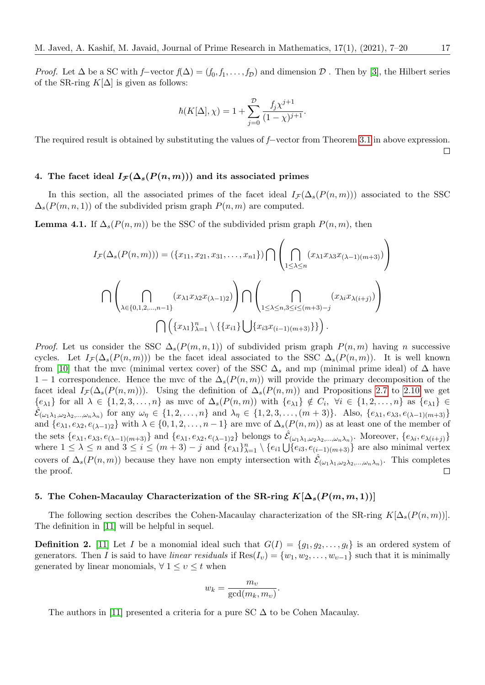*Proof.* Let  $\Delta$  be a SC with  $f$ –vector  $f(\Delta) = (f_0, f_1, \ldots, f_{\mathcal{D}})$  and dimension  $\mathcal{D}$ . Then by [\[3\]](#page-12-2), the Hilbert series of the SR-ring  $K[\Delta]$  is given as follows:

$$
\hbar(K[\Delta], \chi) = 1 + \sum_{j=0}^{\mathcal{D}} \frac{f_j \chi^{j+1}}{(1 - \chi)^{j+1}}.
$$

The required result is obtained by substituting the values of f−vector from Theorem [3.1](#page-8-1) in above expression.  $\Box$ 

#### <span id="page-10-0"></span>4. The facet ideal  $I_{\mathcal{F}}(\Delta_s(P(n,m)))$  and its associated primes

In this section, all the associated primes of the facet ideal  $I_{\mathcal{F}}(\Delta_s(P(n,m)))$  associated to the SSC  $\Delta_s(P(m, n, 1))$  of the subdivided prism graph  $P(n, m)$  are computed.

**Lemma 4.1.** If  $\Delta_s(P(n,m))$  be the SSC of the subdivided prism graph  $P(n,m)$ , then

$$
I_{\mathcal{F}}(\Delta_s(P(n,m))) = (\{x_{11}, x_{21}, x_{31}, \dots, x_{n1}\}) \cap \left(\bigcap_{1 \leq \lambda \leq n} (x_{\lambda 1} x_{\lambda 3} x_{(\lambda-1)(m+3)})\right)
$$

$$
\bigcap \left(\bigcap_{\lambda \in \{0,1,2,\dots,n-1\}} (x_{\lambda 1} x_{\lambda 2} x_{(\lambda-1)2})\right) \cap \left(\bigcap_{1 \leq \lambda \leq n,3 \leq i \leq (m+3)-j} (x_{\lambda i} x_{\lambda(i+j)})\right)
$$

$$
\bigcap \left(\{x_{\lambda 1}\}_{\lambda=1}^n \setminus \{\{x_{i1}\}\bigcup\{x_{i3} x_{(i-1)(m+3)}\}\}\right).
$$

*Proof.* Let us consider the SSC  $\Delta_s(P(m,n,1))$  of subdivided prism graph  $P(n,m)$  having n successive cycles. Let  $I_{\mathcal{F}}(\Delta_s(P(n,m)))$  be the facet ideal associated to the SSC  $\Delta_s(P(n,m))$ . It is well known from [\[10\]](#page-13-3) that the mvc (minimal vertex cover) of the SSC  $\Delta_s$  and mp (minimal prime ideal) of  $\Delta$  have 1 − 1 correspondence. Hence the mvc of the  $\Delta_s(P(n,m))$  will provide the primary decomposition of the facet ideal  $I_{\mathcal{F}}(\Delta_s(P(n,m)))$ . Using the definition of  $\Delta_s(P(n,m))$  and Propositions [2.7](#page-6-1) to [2.10](#page-7-4) we get  ${e_{\lambda_1}}$  for all  $\lambda \in \{1, 2, 3, ..., n\}$  as mvc of  $\Delta_s(P(n,m))$  with  ${e_{\lambda_1}} \notin C_i$ ,  $\forall i \in \{1, 2, ..., n\}$  as  ${e_{\lambda_1}} \in C_i$  $\hat{\mathcal{E}}_{(\omega_1\lambda_1,\omega_2\lambda_2,...,\omega_n\lambda_n)}$  for any  $\omega_\eta \in \{1,2,...,n\}$  and  $\lambda_\eta \in \{1,2,3,...,(m+3)\}$ . Also,  $\{e_{\lambda 1},e_{\lambda 3},e_{(\lambda-1)(m+3)}\}$ and  $\{e_{\lambda 1}, e_{\lambda 2}, e_{(\lambda-1)2}\}\$  with  $\lambda \in \{0, 1, 2, \ldots, n-1\}$  are mvc of  $\Delta_s(P(n,m))$  as at least one of the member of the sets  $\{e_{\lambda 1}, e_{\lambda 3}, e_{(\lambda-1)(m+3)}\}$  and  $\{e_{\lambda 1}, e_{\lambda 2}, e_{(\lambda-1)2}\}$  belongs to  $\hat{\mathcal{E}}_{(\omega_1\lambda_1,\omega_2\lambda_2,\dots,\omega_n\lambda_n)}$ . Moreover,  $\{e_{\lambda i}, e_{\lambda(i+j)}\}$ where  $1 \leq \lambda \leq n$  and  $3 \leq i \leq (m+3)-j$  and  $\{e_{\lambda 1}\}_{\lambda=1}^n \setminus \{e_{i1} \bigcup \{e_{i3}, e_{(i-1)(m+3)}\}\$  are also minimal vertex covers of  $\Delta_s(P(n,m))$  because they have non empty intersection with  $\hat{\mathcal{E}}_{(\omega_1\lambda_1,\omega_2\lambda_2,\dots,\omega_n\lambda_n)}$ . This completes the proof.  $\Box$ 

#### <span id="page-10-1"></span>5. The Cohen-Macaulay Characterization of the SR-ring  $K[\Delta_s(P(m, m, 1))]$

The following section describes the Cohen-Macaulay characterization of the SR-ring  $K[\Delta_s(P(n,m))]$ . The definition in [\[11\]](#page-13-4) will be helpful in sequel.

**Definition 2.** [\[11\]](#page-13-4) Let I be a monomial ideal such that  $G(I) = \{g_1, g_2, \ldots, g_t\}$  is an ordered system of generators. Then I is said to have linear residuals if  $\text{Res}(I_v) = \{w_1, w_2, \ldots, w_{v-1}\}$  such that it is minimally generated by linear monomials,  $\forall$  1  $\leq v \leq t$  when

$$
w_k = \frac{m_v}{\gcd(m_k, m_v)}.
$$

The authors in [\[11\]](#page-13-4) presented a criteria for a pure SC  $\Delta$  to be Cohen Macaulay.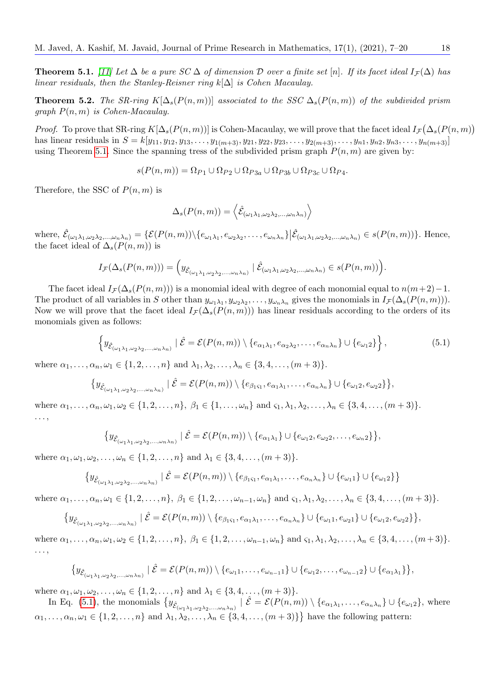<span id="page-11-0"></span>**Theorem 5.1.** [\[11\]](#page-13-4) Let  $\Delta$  be a pure SC  $\Delta$  of dimension D over a finite set [n]. If its facet ideal  $I_{\mathcal{F}}(\Delta)$  has linear residuals, then the Stanley-Reisner ring k[ $\Delta$ ] is Cohen Macaulay.

**Theorem 5.2.** The SR-ring K[ $\Delta_s(P(n,m))$ ] associated to the SSC  $\Delta_s(P(n,m))$  of the subdivided prism qraph  $P(n, m)$  is Cohen-Macaulay.

*Proof.* To prove that SR-ring  $K[\Delta_s(P(n,m))]$  is Cohen-Macaulay, we will prove that the facet ideal  $I_{\mathcal{F}}(\Delta_s(P(n,m)))$ has linear residuals in  $S = k[y_{11}, y_{12}, y_{13}, \ldots, y_{1(m+3)}, y_{21}, y_{22}, y_{23}, \ldots, y_{2(m+3)}, \ldots, y_{n1}, y_{n2}, y_{n3}, \ldots, y_{n(m+3)}]$ using Theorem [5.1.](#page-11-0) Since the spanning tress of the subdivided prism graph  $P(n, m)$  are given by:

$$
s(P(n,m)) = \Omega_{P1} \cup \Omega_{P2} \cup \Omega_{P3a} \cup \Omega_{P3b} \cup \Omega_{P3c} \cup \Omega_{P4}.
$$

Therefore, the SSC of  $P(n, m)$  is

<span id="page-11-1"></span>
$$
\Delta_s(P(n,m)) = \left\langle \hat{\mathcal{E}}_{(\omega_1\lambda_1,\omega_2\lambda_2,\dots,\omega_n\lambda_n)} \right\rangle
$$

where,  $\hat{\mathcal{E}}_{(\omega_1\lambda_1,\omega_2\lambda_2,\dots,\omega_n\lambda_n)} = \{ \mathcal{E}(P(n,m)) \setminus \{e_{\omega_1\lambda_1},e_{\omega_2\lambda_2},\dots,e_{\omega_n\lambda_n}\} | \hat{\mathcal{E}}_{(\omega_1\lambda_1,\omega_2\lambda_2,\dots,\omega_n\lambda_n)} \in s(P(n,m)) \}.$  Hence, the facet ideal of  $\Delta_s(P(n,m))$  is

$$
I_{\mathcal{F}}(\Delta_s(P(n,m))) = \Big(y_{\hat{\mathcal{E}}_{(\omega_1\lambda_1,\omega_2\lambda_2,\ldots,\omega_n\lambda_n)}} \mid \hat{\mathcal{E}}_{(\omega_1\lambda_1,\omega_2\lambda_2,\ldots,\omega_n\lambda_n)} \in s(P(n,m))\Big).
$$

The facet ideal  $I_{\mathcal{F}}(\Delta_s(P(n,m)))$  is a monomial ideal with degree of each monomial equal to  $n(m+2)-1$ . The product of all variables in S other than  $y_{\omega_1\lambda_1}, y_{\omega_2\lambda_2}, \ldots, y_{\omega_n\lambda_n}$  gives the monomials in  $I_{\mathcal{F}}(\Delta_s(P(n,m)))$ . Now we will prove that the facet ideal  $I_{\mathcal{F}}(\Delta_s(P(n,m)))$  has linear residuals according to the orders of its monomials given as follows:

$$
\left\{ y_{\hat{\mathcal{E}}_{(\omega_1\lambda_1,\omega_2\lambda_2,\dots,\omega_n\lambda_n)}} \mid \hat{\mathcal{E}} = \mathcal{E}(P(n,m)) \setminus \{e_{\alpha_1\lambda_1}, e_{\alpha_2\lambda_2}, \dots, e_{\alpha_n\lambda_n}\} \cup \{e_{\omega_12}\}\right\},
$$
\n(5.1)

where  $\alpha_1, \ldots, \alpha_n, \omega_1 \in \{1, 2, \ldots, n\}$  and  $\lambda_1, \lambda_2, \ldots, \lambda_n \in \{3, 4, \ldots, (m+3)\}.$ 

$$
\{y_{\hat{\mathcal{E}}_{(\omega_1\lambda_1,\omega_2\lambda_2,\dots,\omega_n\lambda_n)}}\mid \hat{\mathcal{E}} = \mathcal{E}(P(n,m))\setminus \{e_{\beta_1\varsigma_1},e_{\alpha_1\lambda_1},\dots,e_{\alpha_n\lambda_n}\}\cup \{e_{\omega_12},e_{\omega_22}\}\},\
$$

where  $\alpha_1, \ldots, \alpha_n, \omega_1, \omega_2 \in \{1, 2, \ldots, n\}, \ \beta_1 \in \{1, \ldots, \omega_n\}$  and  $\zeta_1, \lambda_1, \lambda_2, \ldots, \lambda_n \in \{3, 4, \ldots, (m+3)\}.$ . . . ,

$$
\{y_{\hat{\mathcal{E}}_{(\omega_1\lambda_1,\omega_2\lambda_2,\ldots,\omega_n\lambda_n)}}\mid \hat{\mathcal{E}}=\mathcal{E}(P(n,m))\setminus\{e_{\alpha_1\lambda_1}\}\cup\{e_{\omega_12},e_{\omega_22},\ldots,e_{\omega_n2}\}\},\
$$

where  $\alpha_1, \omega_1, \omega_2, \ldots, \omega_n \in \{1, 2, \ldots, n\}$  and  $\lambda_1 \in \{3, 4, \ldots, (m+3)\}.$ 

$$
\{y_{\hat{\mathcal{E}}_{(\omega_1\lambda_1,\omega_2\lambda_2,\dots,\omega_n\lambda_n)}}\mid \hat{\mathcal{E}}=\mathcal{E}(P(n,m))\setminus \{e_{\beta_1\varsigma_1},e_{\alpha_1\lambda_1},\dots,e_{\alpha_n\lambda_n}\}\cup \{e_{\omega_11}\}\cup \{e_{\omega_12}\}\}
$$

where  $\alpha_1, \ldots, \alpha_n, \omega_1 \in \{1, 2, \ldots, n\}, \ \beta_1 \in \{1, 2, \ldots, \omega_{n-1}, \omega_n\}$  and  $\zeta_1, \lambda_1, \lambda_2, \ldots, \lambda_n \in \{3, 4, \ldots, (m+3)\}.$ 

$$
\{y_{\hat{\mathcal{E}}_{(\omega_1\lambda_1,\omega_2\lambda_2,\dots,\omega_n\lambda_n)}}\mid \hat{\mathcal{E}}=\mathcal{E}(P(n,m))\setminus\{e_{\beta_1\varsigma_1},e_{\alpha_1\lambda_1},\dots,e_{\alpha_n\lambda_n}\}\cup\{e_{\omega_11},e_{\omega_21}\}\cup\{e_{\omega_12},e_{\omega_22}\}\},\
$$

where  $\alpha_1, \ldots, \alpha_n, \omega_1, \omega_2 \in \{1, 2, \ldots, n\}, \ \beta_1 \in \{1, 2, \ldots, \omega_{n-1}, \omega_n\}$  and  $\varsigma_1, \lambda_1, \lambda_2, \ldots, \lambda_n \in \{3, 4, \ldots, (m+3)\}.$ . . . ,

$$
\{y_{\hat{\mathcal{E}}_{(\omega_1\lambda_1,\omega_2\lambda_2,\dots,\omega_n\lambda_n)}}\mid \hat{\mathcal{E}}=\mathcal{E}(P(n,m))\setminus\{e_{\omega_11},\dots,e_{\omega_{n-1}1}\}\cup\{e_{\omega_12},\dots,e_{\omega_{n-1}2}\}\cup\{e_{\alpha_1\lambda_1}\}\},\
$$

where  $\alpha_1, \omega_1, \omega_2, \ldots, \omega_n \in \{1, 2, \ldots, n\}$  and  $\lambda_1 \in \{3, 4, \ldots, (m+3)\}.$ 

In Eq. [\(5.1\)](#page-11-1), the monomials  $\{y_{\hat{\mathcal{E}}_{(\omega_1\lambda_1,\omega_2\lambda_2,\dots,\omega_n\lambda_n)}} \mid \hat{\mathcal{E}} = \mathcal{E}(P(n,m)) \setminus \{e_{\alpha_1\lambda_1},\dots,e_{\alpha_n\lambda_n}\} \cup \{e_{\omega_12}\}\$ , where  $\{\alpha_1,\ldots,\alpha_n,\omega_1\in\{1,2,\ldots,n\}\$  and  $\lambda_1,\lambda_2,\ldots,\lambda_n\in\{3,4,\ldots,(m+3)\}\}$  have the following pattern: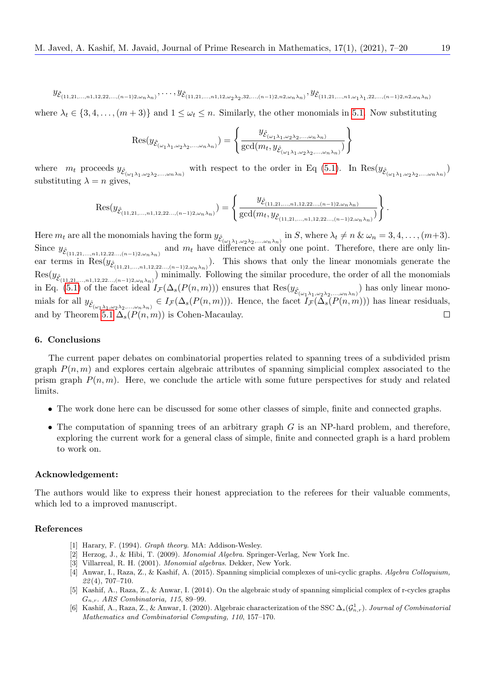$y_{\hat{\mathcal{E}}_{(11,21,...,n1,12,22,...,(n-1)2,\omega_n\lambda_n)},\ldots,y_{\hat{\mathcal{E}}_{(11,21,...,n1,12,\omega_2\lambda_2,32,...,(n-1)2,n2,\omega_n\lambda_n)}},y_{\hat{\mathcal{E}}_{(11,21,...,n1,\omega_1\lambda_1,22,...,(n-1)2,n2,\omega_n\lambda_n)}}$ where  $\lambda_t \in \{3, 4, \ldots, (m+3)\}\$ and  $1 \leq \omega_t \leq n$ . Similarly, the other monomials in [5.1.](#page-11-1) Now substituting

$$
\text{Res}(y_{\hat{\mathcal{E}}_{(\omega_1\lambda_1,\omega_2\lambda_2,\dots,\omega_n\lambda_n)}}) = \left\{ \frac{y_{\hat{\mathcal{E}}_{(\omega_1\lambda_1,\omega_2\lambda_2,\dots,\omega_n\lambda_n)}}}{\text{gcd}(m_t, y_{\hat{\mathcal{E}}_{(\omega_1\lambda_1,\omega_2\lambda_2,\dots,\omega_n\lambda_n)}})} \right\}
$$

where  $m_t$  proceeds  $y_{\hat{\mathcal{E}}_{(\omega_1\lambda_1,\omega_2\lambda_2,\dots,\omega_n\lambda_n)}}$  with respect to the order in Eq [\(5.1\)](#page-11-1). In Res( $y_{\hat{\mathcal{E}}_{(\omega_1\lambda_1,\omega_2\lambda_2,\dots,\omega_n\lambda_n)}}$ ) substituting  $\lambda = n$  gives,

$$
\text{Res}(y_{\hat{\mathcal{E}}_{(11,21,\ldots,n1,12,22\ldots,(n-1)2,\omega_n\lambda_n)}}) = \left\{\frac{y_{\hat{\mathcal{E}}_{(11,21,\ldots,n1,12,22\ldots,(n-1)2,\omega_n\lambda_n)}}}{\gcd(m_t,y_{\hat{\mathcal{E}}_{(11,21,\ldots,n1,12,22\ldots,(n-1)2,\omega_n\lambda_n)}})}\right\}
$$

Here  $m_t$  are all the monomials having the form  $y_{\hat{\mathcal{E}}_{(\omega_1\lambda_1,\omega_2\lambda_2,\dots,\omega_n\lambda_n)}}$  in S, where  $\lambda_t \neq n$  &  $\omega_n = 3, 4, \dots, (m+3)$ . Since  $y_{\hat{\mathcal{E}}_{(11,21,\dots,n1,12,22\dots,(n-1)2,\omega_n\lambda_n)}}$  and  $m_t$  have difference at only one point. Therefore, there are only linear terms in  $\text{Res}(y_{\hat{\mathcal{E}}_{(11,21,\ldots,n1,12,22\ldots,(n-1)2,\omega_n\lambda_n})})$ . This shows that only the linear monomials generate the  $\text{Res}(y_{\hat{\mathcal{E}}_{(11,21,\ldots,n1,12,22\ldots,(n-1)2,\omega_n\lambda_n})})$  minimally. Following the similar procedure, the order of all the monomials in Eq. [\(5.1\)](#page-11-1) of the facet ideal  $I_{\mathcal{F}}(\Delta_s(P(n,m)))$  ensures that  $\text{Res}(y_{\hat{\mathcal{E}}_{(\omega_1\lambda_1,\omega_2\lambda_2,\dots,\omega_n\lambda_n})})$  has only linear monomials for all  $y_{\hat{\mathcal{E}}_{(\omega_1\lambda_1,\omega_2\lambda_2,\dots,\omega_n\lambda_n)}} \in I_{\mathcal{F}}(\Delta_s(P(n,m)))$ . Hence, the facet  $I_{\mathcal{F}}(\Delta_s(P(n,m)))$  has linear residuals, and by Theorem [5.1](#page-11-0)  $\Delta_s(P(n,m))$  is Cohen-Macaulay.

#### 6. Conclusions

The current paper debates on combinatorial properties related to spanning trees of a subdivided prism graph  $P(n, m)$  and explores certain algebraic attributes of spanning simplicial complex associated to the prism graph  $P(n, m)$ . Here, we conclude the article with some future perspectives for study and related limits.

- The work done here can be discussed for some other classes of simple, finite and connected graphs.
- The computation of spanning trees of an arbitrary graph  $G$  is an NP-hard problem, and therefore, exploring the current work for a general class of simple, finite and connected graph is a hard problem to work on.

#### Acknowledgement:

The authors would like to express their honest appreciation to the referees for their valuable comments, which led to a improved manuscript.

#### References

- <span id="page-12-0"></span>[1] Harary, F. (1994). Graph theory. MA: Addison-Wesley.
- <span id="page-12-1"></span>[2] Herzog, J., & Hibi, T. (2009). Monomial Algebra. Springer-Verlag, New York Inc.
- <span id="page-12-2"></span>[3] Villarreal, R. H. (2001). Monomial algebras. Dekker, New York.
- <span id="page-12-3"></span>[4] Anwar, I., Raza, Z., & Kashif, A. (2015). Spanning simplicial complexes of uni-cyclic graphs. Algebra Colloquium,  $22(4)$ , 707–710.
- <span id="page-12-4"></span>[5] Kashif, A., Raza, Z., & Anwar, I. (2014). On the algebraic study of spanning simplicial complex of r-cycles graphs  $G_{n,r}$ . ARS Combinatoria, 115, 89–99.
- <span id="page-12-5"></span>[6] Kashif, A., Raza, Z., & Anwar, I. (2020). Algebraic characterization of the SSC  $\Delta_s(\mathcal{G}_{n,r}^1)$ . Journal of Combinatorial Mathematics and Combinatorial Computing, 110, 157–170.

.